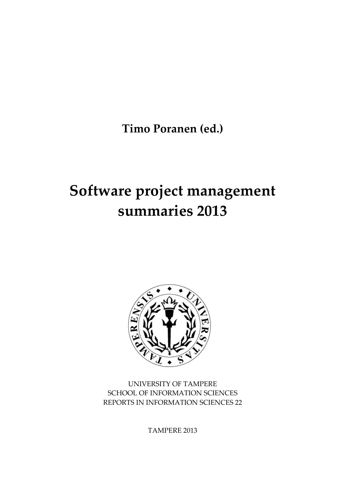**Timo Poranen (ed.)** 

# **Software project management summaries 2013**



UNIVERSITY OF TAMPERE SCHOOL OF INFORMATION SCIENCES REPORTS IN INFORMATION SCIENCES 22

TAMPERE 2013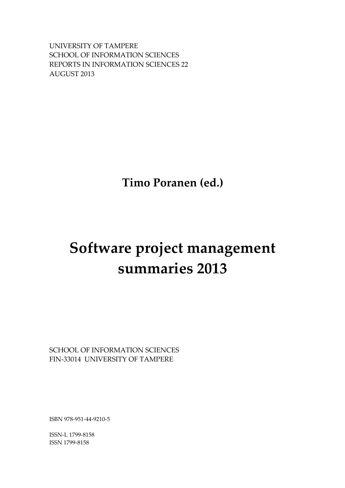UNIVERSITY OF TAMPERE SCHOOL OF INFORMATION SCIENCES REPORTS IN INFORMATION SCIENCES 22 AUGUST 2013

**Timo Poranen (ed.)**

# **Software project management summaries 2013**

SCHOOL OF INFORMATION SCIENCES FIN‐33014 UNIVERSITY OF TAMPERE

ISBN 978‐951‐44‐9210‐5

ISSN‐L 1799‐8158 ISSN 1799‐8158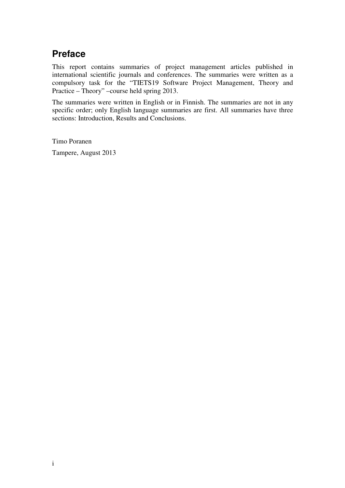# **Preface**

This report contains summaries of project management articles published in international scientific journals and conferences. The summaries were written as a compulsory task for the "TIETS19 Software Project Management, Theory and Practice – Theory" –course held spring 2013.

The summaries were written in English or in Finnish. The summaries are not in any specific order; only English language summaries are first. All summaries have three sections: Introduction, Results and Conclusions.

Timo Poranen

Tampere, August 2013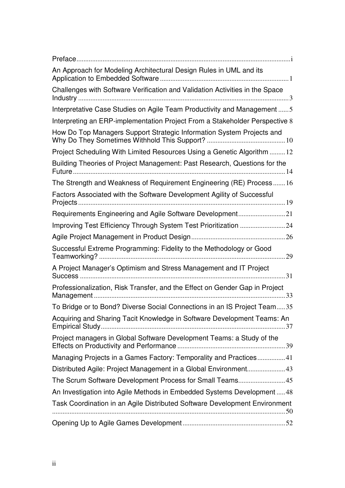| An Approach for Modeling Architectural Design Rules in UML and its           |
|------------------------------------------------------------------------------|
| Challenges with Software Verification and Validation Activities in the Space |
| Interpretative Case Studies on Agile Team Productivity and Management  5     |
| Interpreting an ERP-implementation Project From a Stakeholder Perspective 8  |
| How Do Top Managers Support Strategic Information System Projects and        |
| Project Scheduling With Limited Resources Using a Genetic Algorithm 12       |
| Building Theories of Project Management: Past Research, Questions for the    |
| The Strength and Weakness of Requirement Engineering (RE) Process16          |
| Factors Associated with the Software Development Agility of Successful       |
| Requirements Engineering and Agile Software Development21                    |
| Improving Test Efficiency Through System Test Prioritization 24              |
|                                                                              |
| Successful Extreme Programming: Fidelity to the Methodology or Good          |
| A Project Manager's Optimism and Stress Management and IT Project            |
| Professionalization, Risk Transfer, and the Effect on Gender Gap in Project  |
| To Bridge or to Bond? Diverse Social Connections in an IS Project Team35     |
| Acquiring and Sharing Tacit Knowledge in Software Development Teams: An      |
| Project managers in Global Software Development Teams: a Study of the        |
| Managing Projects in a Games Factory: Temporality and Practices41            |
| Distributed Agile: Project Management in a Global Environment43              |
|                                                                              |
| An Investigation into Agile Methods in Embedded Systems Development  48      |
| Task Coordination in an Agile Distributed Software Development Environment   |
|                                                                              |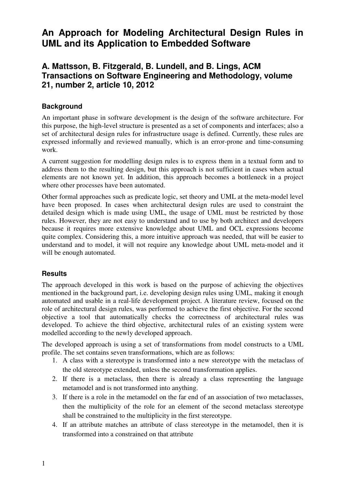# **An Approach for Modeling Architectural Design Rules in UML and its Application to Embedded Software**

### **A. Mattsson, B. Fitzgerald, B. Lundell, and B. Lings, ACM Transactions on Software Engineering and Methodology, volume 21, number 2, article 10, 2012**

#### **Background**

An important phase in software development is the design of the software architecture. For this purpose, the high-level structure is presented as a set of components and interfaces; also a set of architectural design rules for infrastructure usage is defined. Currently, these rules are expressed informally and reviewed manually, which is an error-prone and time-consuming work.

A current suggestion for modelling design rules is to express them in a textual form and to address them to the resulting design, but this approach is not sufficient in cases when actual elements are not known yet. In addition, this approach becomes a bottleneck in a project where other processes have been automated.

Other formal approaches such as predicate logic, set theory and UML at the meta-model level have been proposed. In cases when architectural design rules are used to constraint the detailed design which is made using UML, the usage of UML must be restricted by those rules. However, they are not easy to understand and to use by both architect and developers because it requires more extensive knowledge about UML and OCL expressions become quite complex. Considering this, a more intuitive approach was needed, that will be easier to understand and to model, it will not require any knowledge about UML meta-model and it will be enough automated.

#### **Results**

The approach developed in this work is based on the purpose of achieving the objectives mentioned in the background part, i.e. developing design rules using UML, making it enough automated and usable in a real-life development project. A literature review, focused on the role of architectural design rules, was performed to achieve the first objective. For the second objective a tool that automatically checks the correctness of architectural rules was developed. To achieve the third objective, architectural rules of an existing system were modelled according to the newly developed approach.

The developed approach is using a set of transformations from model constructs to a UML profile. The set contains seven transformations, which are as follows:

- 1. A class with a stereotype is transformed into a new stereotype with the metaclass of the old stereotype extended, unless the second transformation applies.
- 2. If there is a metaclass, then there is already a class representing the language metamodel and is not transformed into anything.
- 3. If there is a role in the metamodel on the far end of an association of two metaclasses, then the multiplicity of the role for an element of the second metaclass stereotype shall be constrained to the multiplicity in the first stereotype.
- 4. If an attribute matches an attribute of class stereotype in the metamodel, then it is transformed into a constrained on that attribute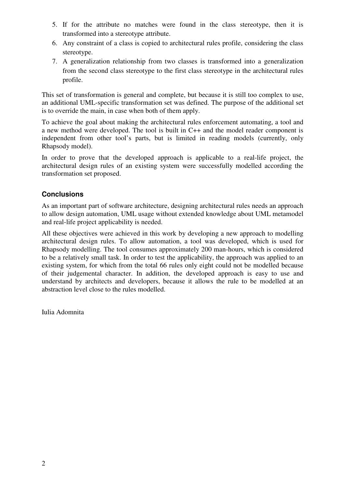- 5. If for the attribute no matches were found in the class stereotype, then it is transformed into a stereotype attribute.
- 6. Any constraint of a class is copied to architectural rules profile, considering the class stereotype.
- 7. A generalization relationship from two classes is transformed into a generalization from the second class stereotype to the first class stereotype in the architectural rules profile.

This set of transformation is general and complete, but because it is still too complex to use, an additional UML-specific transformation set was defined. The purpose of the additional set is to override the main, in case when both of them apply.

To achieve the goal about making the architectural rules enforcement automating, a tool and a new method were developed. The tool is built in C++ and the model reader component is independent from other tool's parts, but is limited in reading models (currently, only Rhapsody model).

In order to prove that the developed approach is applicable to a real-life project, the architectural design rules of an existing system were successfully modelled according the transformation set proposed.

#### **Conclusions**

As an important part of software architecture, designing architectural rules needs an approach to allow design automation, UML usage without extended knowledge about UML metamodel and real-life project applicability is needed.

All these objectives were achieved in this work by developing a new approach to modelling architectural design rules. To allow automation, a tool was developed, which is used for Rhapsody modelling. The tool consumes approximately 200 man-hours, which is considered to be a relatively small task. In order to test the applicability, the approach was applied to an existing system, for which from the total 66 rules only eight could not be modelled because of their judgemental character. In addition, the developed approach is easy to use and understand by architects and developers, because it allows the rule to be modelled at an abstraction level close to the rules modelled.

Iulia Adomnita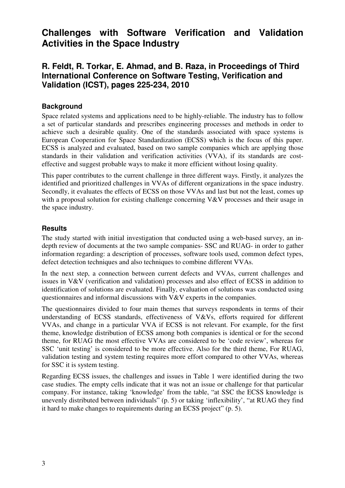# **Challenges with Software Verification and Validation Activities in the Space Industry**

### **R. Feldt, R. Torkar, E. Ahmad, and B. Raza, in Proceedings of Third International Conference on Software Testing, Verification and Validation (ICST), pages 225-234, 2010**

#### **Background**

Space related systems and applications need to be highly-reliable. The industry has to follow a set of particular standards and prescribes engineering processes and methods in order to achieve such a desirable quality. One of the standards associated with space systems is European Cooperation for Space Standardization (ECSS) which is the focus of this paper. ECSS is analyzed and evaluated, based on two sample companies which are applying those standards in their validation and verification activities (VVA), if its standards are costeffective and suggest probable ways to make it more efficient without losing quality.

This paper contributes to the current challenge in three different ways. Firstly, it analyzes the identified and prioritized challenges in VVAs of different organizations in the space industry. Secondly, it evaluates the effects of ECSS on those VVAs and last but not the least, comes up with a proposal solution for existing challenge concerning V&V processes and their usage in the space industry.

#### **Results**

The study started with initial investigation that conducted using a web-based survey, an indepth review of documents at the two sample companies- SSC and RUAG- in order to gather information regarding: a description of processes, software tools used, common defect types, defect detection techniques and also techniques to combine different VVAs.

In the next step, a connection between current defects and VVAs, current challenges and issues in V&V (verification and validation) processes and also effect of ECSS in addition to identification of solutions are evaluated. Finally, evaluation of solutions was conducted using questionnaires and informal discussions with V&V experts in the companies.

The questionnaires divided to four main themes that surveys respondents in terms of their understanding of ECSS standards, effectiveness of V&Vs, efforts required for different VVAs, and change in a particular VVA if ECSS is not relevant. For example, for the first theme, knowledge distribution of ECSS among both companies is identical or for the second theme, for RUAG the most effective VVAs are considered to be 'code review', whereas for SSC 'unit testing' is considered to be more effective. Also for the third theme, For RUAG, validation testing and system testing requires more effort compared to other VVAs, whereas for SSC it is system testing.

Regarding ECSS issues, the challenges and issues in Table 1 were identified during the two case studies. The empty cells indicate that it was not an issue or challenge for that particular company. For instance, taking 'knowledge' from the table, "at SSC the ECSS knowledge is unevenly distributed between individuals" (p. 5) or taking 'inflexibility', "at RUAG they find it hard to make changes to requirements during an ECSS project" (p. 5).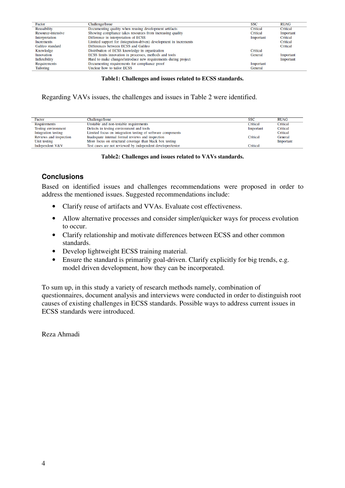| Factor              | Challenge/Issue                                                    | <b>SSC</b> | <b>RUAG</b> |
|---------------------|--------------------------------------------------------------------|------------|-------------|
| Reusability         | Documenting quality when reusing development artifacts             | Critical   | Critical    |
| Resource-intensive  | Showing compliance takes resources from increasing quality         | Critical   | Important   |
| Interpretation      | Difference in interpretation of ECSS                               | Important  | Critical    |
| Increments          | Limited support for (integration-driven) development in increments |            | Critical    |
| Galileo standard    | Differences between ECSS and Galileo                               |            | Critical    |
| Knowledge           | Distribution of ECSS knowledge in organization                     | Critical   |             |
| Innovation          | ECSS limits innovation in processes, methods and tools             | General    | Important   |
| Inflexibility       | Hard to make changes/introduce new requirements during project     |            | Important   |
| <b>Requirements</b> | Documenting requirements for compliance proof                      | Important  |             |
| Tailoring           | Unclear how to tailor ECSS                                         | General    |             |

#### **Table1: Challenges and issues related to ECSS standards.**

Regarding VAVs issues, the challenges and issues in Table 2 were identified.

| Factor                 | Challenge/Issue                                             | SSC       | <b>RUAG</b> |
|------------------------|-------------------------------------------------------------|-----------|-------------|
| Requirements           | Unstable and non-testable requirements                      | Critical  | Critical    |
| Testing environment    | Defects in testing environment and tools                    | Important | Critical    |
| Integration testing    | Limited focus on integration testing of software components |           | Critical    |
| Reviews and inspection | Inadequate internal formal reviews and inspection           | Critical  | General     |
| Unit testing           | More focus on structural coverage than black box testing    |           | Important   |
| Independent V&V        | Test cases are not reviewed by independent developer/tester | Critical  |             |
|                        |                                                             |           |             |

#### **Table2: Challenges and issues related to VAVs standards.**

#### **Conclusions**

Based on identified issues and challenges recommendations were proposed in order to address the mentioned issues. Suggested recommendations include:

- Clarify reuse of artifacts and VVAs. Evaluate cost effectiveness.
- Allow alternative processes and consider simpler/quicker ways for process evolution to occur.
- Clarify relationship and motivate differences between ECSS and other common standards.
- Develop lightweight ECSS training material.
- Ensure the standard is primarily goal-driven. Clarify explicitly for big trends, e.g. model driven development, how they can be incorporated.

To sum up, in this study a variety of research methods namely, combination of questionnaires, document analysis and interviews were conducted in order to distinguish root causes of existing challenges in ECSS standards. Possible ways to address current issues in ECSS standards were introduced.

Reza Ahmadi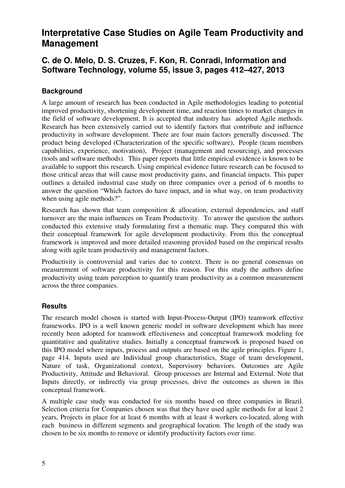# **Interpretative Case Studies on Agile Team Productivity and Management**

### **C. de O. Melo, D. S. Cruzes, F. Kon, R. Conradi, Information and Software Technology, volume 55, issue 3, pages 412–427, 2013**

#### **Background**

A large amount of research has been conducted in Agile methodologies leading to potential improved productivity, shortening development time, and reaction times to market changes in the field of software development. It is accepted that industry has adopted Agile methods. Research has been extensively carried out to identify factors that contribute and influence productivity in software development. There are four main factors generally discussed. The product being developed (Characterization of the specific software), People (team members capabilities, experience, motivation), Project (management and resourcing), and processes (tools and software methods). This paper reports that little empirical evidence is known to be available to support this research. Using empirical evidence future research can be focused to those critical areas that will cause most productivity gains, and financial impacts. This paper outlines a detailed industrial case study on three companies over a period of 6 months to answer the question "Which factors do have impact, and in what way, on team productivity when using agile methods?".

Research has shown that team composition  $\&$  allocation, external dependencies, and staff turnover are the main influences on Team Productivity. To answer the question the authors conducted this extensive study formulating first a thematic map. They compared this with their conceptual framework for agile development productivity. From this the conceptual framework is improved and more detailed reasoning provided based on the empirical results along with agile team productivity and management factors.

Productivity is controversial and varies due to context. There is no general consensus on measurement of software productivity for this reason. For this study the authors define productivity using team perception to quantify team productivity as a common measurement across the three companies.

#### **Results**

The research model chosen is started with Input-Process-Output (IPO) teamwork effective frameworks. IPO is a well known generic model in software development which has more recently been adopted for teamwork effectiveness and conceptual framework modeling for quantitative and qualitative studies. Initially a conceptual framework is proposed based on this IPO model where inputs, process and outputs are based on the agile principles. Figure 1, page 414. Inputs used are Individual group characteristics, Stage of team development, Nature of task, Organizational context, Supervisory behaviors. Outcomes are Agile Productivity, Attitude and Behavioral. Group processes are Internal and External. Note that Inputs directly, or indirectly via group processes, drive the outcomes as shown in this conceptual framework.

A multiple case study was conducted for six months based on three companies in Brazil. Selection criteria for Companies chosen was that they have used agile methods for at least 2 years, Projects in place for at least 6 months with at least 4 workers co-located, along with each business in different segments and geographical location. The length of the study was chosen to be six months to remove or identify productivity factors over time.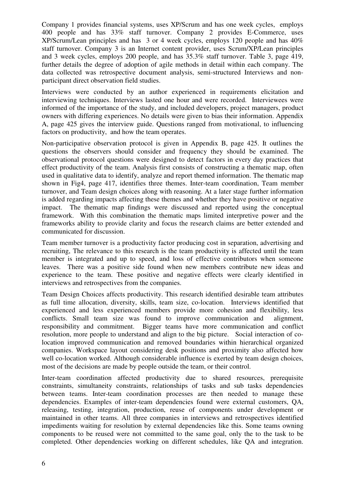Company 1 provides financial systems, uses XP/Scrum and has one week cycles, employs 400 people and has 33% staff turnover. Company 2 provides E-Commerce, uses XP/Scrum/Lean principles and has 3 or 4 week cycles, employs 120 people and has 40% staff turnover. Company 3 is an Internet content provider, uses Scrum/XP/Lean principles and 3 week cycles, employs 200 people, and has 35.3% staff turnover. Table 3, page 419, further details the degree of adoption of agile methods in detail within each company. The data collected was retrospective document analysis, semi-structured Interviews and nonparticipant direct observation field studies.

Interviews were conducted by an author experienced in requirements elicitation and interviewing techniques. Interviews lasted one hour and were recorded. Interviewees were informed of the importance of the study, and included developers, project managers, product owners with differing experiences. No details were given to bias their information. Appendix A, page 425 gives the interview guide. Questions ranged from motivational, to influencing factors on productivity, and how the team operates.

Non-participative observation protocol is given in Appendix B, page 425. It outlines the questions the observers should consider and frequency they should be examined. The observational protocol questions were designed to detect factors in every day practices that effect productivity of the team. Analysis first consists of constructing a thematic map, often used in qualitative data to identify, analyze and report themed information. The thematic map shown in Fig4, page 417, identifies three themes. Inter-team coordination, Team member turnover, and Team design choices along with reasoning. At a later stage further information is added regarding impacts affecting these themes and whether they have positive or negative impact. The thematic map findings were discussed and reported using the conceptual framework. With this combination the thematic maps limited interpretive power and the frameworks ability to provide clarity and focus the research claims are better extended and communicated for discussion.

Team member turnover is a productivity factor producing cost in separation, advertising and recruiting, The relevance to this research is the team productivity is affected until the team member is integrated and up to speed, and loss of effective contributors when someone leaves. There was a positive side found when new members contribute new ideas and experience to the team. These positive and negative effects were clearly identified in interviews and retrospectives from the companies.

Team Design Choices affects productivity. This research identified desirable team attributes as full time allocation, diversity, skills, team size, co-location. Interviews identified that experienced and less experienced members provide more cohesion and flexibility, less conflicts. Small team size was found to improve communication and alignment, responsibility and commitment. Bigger teams have more communication and conflict resolution, more people to understand and align to the big picture. Social interaction of colocation improved communication and removed boundaries within hierarchical organized companies. Workspace layout considering desk positions and proximity also affected how well co-location worked. Although considerable influence is exerted by team design choices, most of the decisions are made by people outside the team, or their control.

Inter-team coordination affected productivity due to shared resources, prerequisite constraints, simultaneity constraints, relationships of tasks and sub tasks dependencies between teams. Inter-team coordination processes are then needed to manage these dependencies. Examples of inter-team dependencies found were external customers, QA, releasing, testing, integration, production, reuse of components under development or maintained in other teams. All three companies in interviews and retrospectives identified impediments waiting for resolution by external dependencies like this. Some teams owning components to be reused were not committed to the same goal, only the to the task to be completed. Other dependencies working on different schedules, like QA and integration.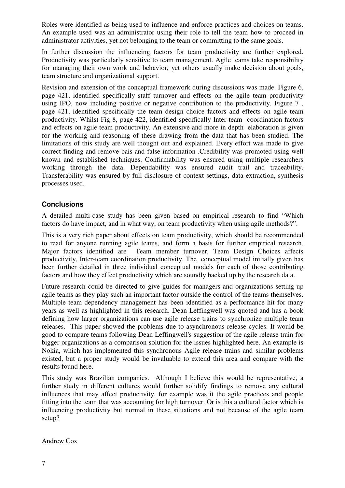Roles were identified as being used to influence and enforce practices and choices on teams. An example used was an administrator using their role to tell the team how to proceed in administrator activities, yet not belonging to the team or committing to the same goals.

In further discussion the influencing factors for team productivity are further explored. Productivity was particularly sensitive to team management. Agile teams take responsibility for managing their own work and behavior, yet others usually make decision about goals, team structure and organizational support.

Revision and extension of the conceptual framework during discussions was made. Figure 6, page 421, identified specifically staff turnover and effects on the agile team productivity using IPO, now including positive or negative contribution to the productivity. Figure 7 , page 421, identified specifically the team design choice factors and effects on agile team productivity. Whilst Fig 8, page 422, identified specifically Inter-team coordination factors and effects on agile team productivity. An extensive and more in depth elaboration is given for the working and reasoning of these drawing from the data that has been studied. The limitations of this study are well thought out and explained. Every effort was made to give correct finding and remove bais and false information .Credibility was promoted using well known and established techniques. Confirmability was ensured using multiple researchers working through the data. Dependability was ensured audit trail and traceability. Transferability was ensured by full disclosure of context settings, data extraction, synthesis processes used.

#### **Conclusions**

A detailed multi-case study has been given based on empirical research to find "Which factors do have impact, and in what way, on team productivity when using agile methods?".

This is a very rich paper about effects on team productivity, which should be recommended to read for anyone running agile teams, and form a basis for further empirical research. Major factors identified are Team member turnover, Team Design Choices affects productivity, Inter-team coordination productivity. The conceptual model initially given has been further detailed in three individual conceptual models for each of those contributing factors and how they effect productivity which are soundly backed up by the research data.

Future research could be directed to give guides for managers and organizations setting up agile teams as they play such an important factor outside the control of the teams themselves. Multiple team dependency management has been identified as a performance hit for many years as well as highlighted in this research. Dean Leffingwell was quoted and has a book defining how larger organizations can use agile release trains to synchronize multiple team releases. This paper showed the problems due to asynchronous release cycles. It would be good to compare teams following Dean Leffingwell's suggestion of the agile release train for bigger organizations as a comparison solution for the issues highlighted here. An example is Nokia, which has implemented this synchronous Agile release trains and similar problems existed, but a proper study would be invaluable to extend this area and compare with the results found here.

This study was Brazilian companies. Although I believe this would be representative, a further study in different cultures would further solidify findings to remove any cultural influences that may affect productivity, for example was it the agile practices and people fitting into the team that was accounting for high turnover. Or is this a cultural factor which is influencing productivity but normal in these situations and not because of the agile team setup?

Andrew Cox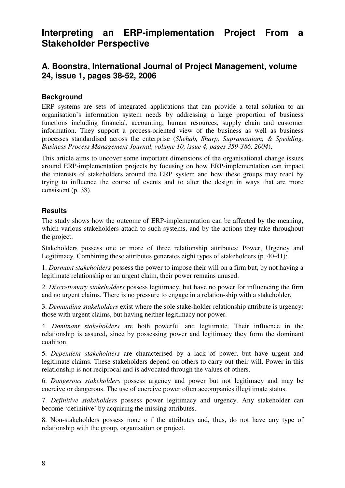# **Interpreting an ERP-implementation Project From a Stakeholder Perspective**

### **A. Boonstra, International Journal of Project Management, volume 24, issue 1, pages 38-52, 2006**

#### **Background**

ERP systems are sets of integrated applications that can provide a total solution to an organisation's information system needs by addressing a large proportion of business functions including financial, accounting, human resources, supply chain and customer information. They support a process-oriented view of the business as well as business processes standardised across the enterprise (*Shehab, Sharp, Supramaniam, & Spedding, Business Process Management Journal, volume 10, issue 4, pages 359-386, 2004*).

This article aims to uncover some important dimensions of the organisational change issues around ERP-implementation projects by focusing on how ERP-implementation can impact the interests of stakeholders around the ERP system and how these groups may react by trying to influence the course of events and to alter the design in ways that are more consistent (p. 38).

#### **Results**

The study shows how the outcome of ERP-implementation can be affected by the meaning, which various stakeholders attach to such systems, and by the actions they take throughout the project.

Stakeholders possess one or more of three relationship attributes: Power, Urgency and Legitimacy. Combining these attributes generates eight types of stakeholders (p. 40-41):

1. *Dormant stakeholders* possess the power to impose their will on a firm but, by not having a legitimate relationship or an urgent claim, their power remains unused.

2. *Discretionary stakeholders* possess legitimacy, but have no power for influencing the firm and no urgent claims. There is no pressure to engage in a relation-ship with a stakeholder.

3. *Demanding stakeholders* exist where the sole stake-holder relationship attribute is urgency: those with urgent claims, but having neither legitimacy nor power.

4. *Dominant stakeholders* are both powerful and legitimate. Their influence in the relationship is assured, since by possessing power and legitimacy they form the dominant coalition.

5. *Dependent stakeholders* are characterised by a lack of power, but have urgent and legitimate claims. These stakeholders depend on others to carry out their will. Power in this relationship is not reciprocal and is advocated through the values of others.

6. *Dangerous stakeholders* possess urgency and power but not legitimacy and may be coercive or dangerous. The use of coercive power often accompanies illegitimate status.

7. *Definitive stakeholders* possess power legitimacy and urgency. Any stakeholder can become 'definitive' by acquiring the missing attributes.

8. Non-stakeholders possess none o f the attributes and, thus, do not have any type of relationship with the group, organisation or project.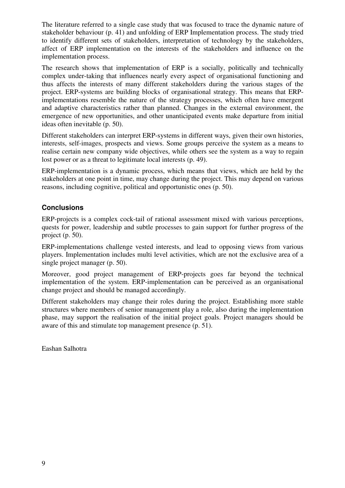The literature referred to a single case study that was focused to trace the dynamic nature of stakeholder behaviour (p. 41) and unfolding of ERP Implementation process. The study tried to identify different sets of stakeholders, interpretation of technology by the stakeholders, affect of ERP implementation on the interests of the stakeholders and influence on the implementation process.

The research shows that implementation of ERP is a socially, politically and technically complex under-taking that influences nearly every aspect of organisational functioning and thus affects the interests of many different stakeholders during the various stages of the project. ERP-systems are building blocks of organisational strategy. This means that ERPimplementations resemble the nature of the strategy processes, which often have emergent and adaptive characteristics rather than planned. Changes in the external environment, the emergence of new opportunities, and other unanticipated events make departure from initial ideas often inevitable (p. 50).

Different stakeholders can interpret ERP-systems in different ways, given their own histories, interests, self-images, prospects and views. Some groups perceive the system as a means to realise certain new company wide objectives, while others see the system as a way to regain lost power or as a threat to legitimate local interests (p. 49).

ERP-implementation is a dynamic process, which means that views, which are held by the stakeholders at one point in time, may change during the project. This may depend on various reasons, including cognitive, political and opportunistic ones (p. 50).

#### **Conclusions**

ERP-projects is a complex cock-tail of rational assessment mixed with various perceptions, quests for power, leadership and subtle processes to gain support for further progress of the project (p. 50).

ERP-implementations challenge vested interests, and lead to opposing views from various players. Implementation includes multi level activities, which are not the exclusive area of a single project manager (p. 50).

Moreover, good project management of ERP-projects goes far beyond the technical implementation of the system. ERP-implementation can be perceived as an organisational change project and should be managed accordingly.

Different stakeholders may change their roles during the project. Establishing more stable structures where members of senior management play a role, also during the implementation phase, may support the realisation of the initial project goals. Project managers should be aware of this and stimulate top management presence (p. 51).

Eashan Salhotra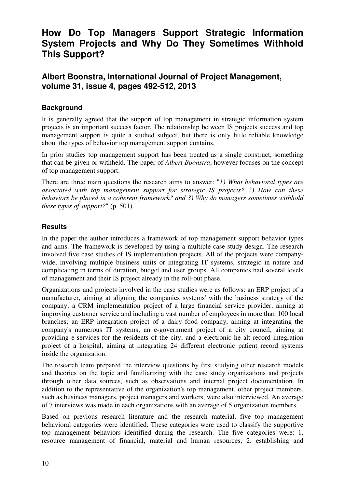# **How Do Top Managers Support Strategic Information System Projects and Why Do They Sometimes Withhold This Support?**

### **Albert Boonstra, International Journal of Project Management, volume 31, issue 4, pages 492-512, 2013**

#### **Background**

It is generally agreed that the support of top management in strategic information system projects is an important success factor. The relationship between IS projects success and top management support is quite a studied subject, but there is only little reliable knowledge about the types of behavior top management support contains.

In prior studies top management support has been treated as a single construct, something that can be given or withheld. The paper of *Albert Boonstra*, however focuses on the concept of top management support.

There are three main questions the research aims to answer: "*1) What behavioral types are associated with top management support for strategic IS projects? 2) How can these behaviors be placed in a coherent framework? and 3) Why do managers sometimes withhold these types of support?*" (p. 501).

#### **Results**

In the paper the author introduces a framework of top management support behavior types and aims. The framework is developed by using a multiple case study design. The research involved five case studies of IS implementation projects. All of the projects were companywide, involving multiple business units or integrating IT systems, strategic in nature and complicating in terms of duration, budget and user groups. All companies had several levels of management and their IS project already in the roll-out phase.

Organizations and projects involved in the case studies were as follows: an ERP project of a manufacturer, aiming at aligning the companies systems' with the business strategy of the company; a CRM implementation project of a large financial service provider, aiming at improving customer service and including a vast number of employees in more than 100 local branches; an ERP integration project of a dairy food company, aiming at integrating the company's numerous IT systems; an e-government project of a city council, aiming at providing e-services for the residents of the city; and a electronic he alt record integration project of a hospital, aiming at integrating 24 different electronic patient record systems inside the organization.

The research team prepared the interview questions by first studying other research models and theories on the topic and familiarizing with the case study organizations and projects through other data sources, such as observations and internal project documentation. In addition to the representative of the organization's top management, other project members, such as business managers, project managers and workers, were also interviewed. An average of 7 interviews was made in each organizations with an average of 5 organization members.

Based on previous research literature and the research material, five top management behavioral categories were identified. These categories were used to classify the supportive top management behaviors identified during the research. The five categories were: 1. resource management of financial, material and human resources, 2. establishing and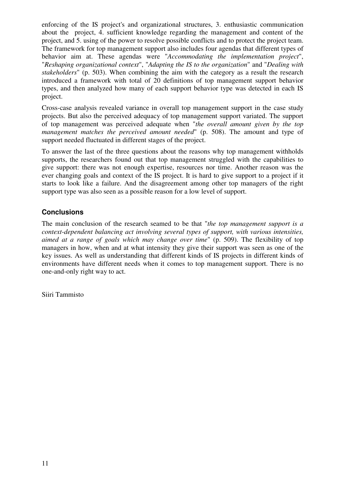enforcing of the IS project's and organizational structures, 3. enthusiastic communication about the project, 4. sufficient knowledge regarding the management and content of the project, and 5. using of the power to resolve possible conflicts and to protect the project team. The framework for top management support also includes four agendas that different types of behavior aim at. These agendas were "*Accommodating the implementation project*", "*Reshaping organizational context*", "*Adapting the IS to the organization*" and "*Dealing with stakeholders*" (p. 503). When combining the aim with the category as a result the research introduced a framework with total of 20 definitions of top management support behavior types, and then analyzed how many of each support behavior type was detected in each IS project.

Cross-case analysis revealed variance in overall top management support in the case study projects. But also the perceived adequacy of top management support variated. The support of top management was perceived adequate when "*the overall amount given by the top management matches the perceived amount needed*" (p. 508). The amount and type of support needed fluctuated in different stages of the project.

To answer the last of the three questions about the reasons why top management withholds supports, the researchers found out that top management struggled with the capabilities to give support: there was not enough expertise, resources nor time. Another reason was the ever changing goals and context of the IS project. It is hard to give support to a project if it starts to look like a failure. And the disagreement among other top managers of the right support type was also seen as a possible reason for a low level of support.

#### **Conclusions**

The main conclusion of the research seamed to be that "*the top management support is a context-dependent balancing act involving several types of support, with various intensities, aimed at a range of goals which may change over time*" (p. 509). The flexibility of top managers in how, when and at what intensity they give their support was seen as one of the key issues. As well as understanding that different kinds of IS projects in different kinds of environments have different needs when it comes to top management support. There is no one-and-only right way to act.

Siiri Tammisto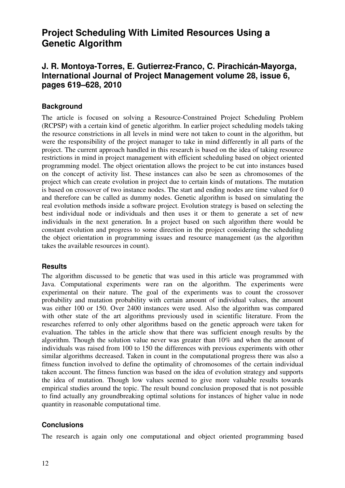# **Project Scheduling With Limited Resources Using a Genetic Algorithm**

### **J. R. Montoya-Torres, E. Gutierrez-Franco, C. Pirachicán-Mayorga, International Journal of Project Management volume 28, issue 6, pages 619–628, 2010**

#### **Background**

The article is focused on solving a Resource-Constrained Project Scheduling Problem (RCPSP) with a certain kind of genetic algorithm. In earlier project scheduling models taking the resource constrictions in all levels in mind were not taken to count in the algorithm, but were the responsibility of the project manager to take in mind differently in all parts of the project. The current approach handled in this research is based on the idea of taking resource restrictions in mind in project management with efficient scheduling based on object oriented programming model. The object orientation allows the project to be cut into instances based on the concept of activity list. These instances can also be seen as chromosomes of the project which can create evolution in project due to certain kinds of mutations. The mutation is based on crossover of two instance nodes. The start and ending nodes are time valued for 0 and therefore can be called as dummy nodes. Genetic algorithm is based on simulating the real evolution methods inside a software project. Evolution strategy is based on selecting the best individual node or individuals and then uses it or them to generate a set of new individuals in the next generation. In a project based on such algorithm there would be constant evolution and progress to some direction in the project considering the scheduling the object orientation in programming issues and resource management (as the algorithm takes the available resources in count).

#### **Results**

The algorithm discussed to be genetic that was used in this article was programmed with Java. Computational experiments were ran on the algorithm. The experiments were experimental on their nature. The goal of the experiments was to count the crossover probability and mutation probability with certain amount of individual values, the amount was either 100 or 150. Over 2400 instances were used. Also the algorithm was compared with other state of the art algorithms previously used in scientific literature. From the researches referred to only other algorithms based on the genetic approach were taken for evaluation. The tables in the article show that there was sufficient enough results by the algorithm. Though the solution value never was greater than 10% and when the amount of individuals was raised from 100 to 150 the differences with previous experiments with other similar algorithms decreased. Taken in count in the computational progress there was also a fitness function involved to define the optimality of chromosomes of the certain individual taken account. The fitness function was based on the idea of evolution strategy and supports the idea of mutation. Though low values seemed to give more valuable results towards empirical studies around the topic. The result bound conclusion proposed that is not possible to find actually any groundbreaking optimal solutions for instances of higher value in node quantity in reasonable computational time.

#### **Conclusions**

The research is again only one computational and object oriented programming based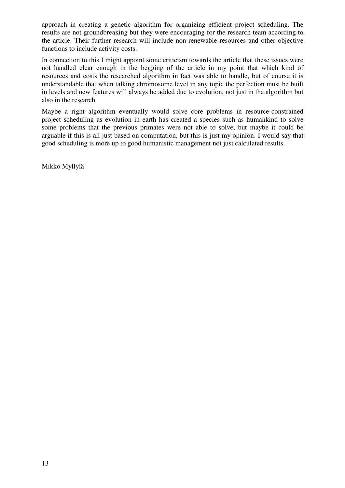approach in creating a genetic algorithm for organizing efficient project scheduling. The results are not groundbreaking but they were encouraging for the research team according to the article. Their further research will include non-renewable resources and other objective functions to include activity costs.

In connection to this I might appoint some criticism towards the article that these issues were not handled clear enough in the begging of the article in my point that which kind of resources and costs the researched algorithm in fact was able to handle, but of course it is understandable that when talking chromosome level in any topic the perfection must be built in levels and new features will always be added due to evolution, not just in the algorithm but also in the research.

Maybe a right algorithm eventually would solve core problems in resource-constrained project scheduling as evolution in earth has created a species such as humankind to solve some problems that the previous primates were not able to solve, but maybe it could be arguable if this is all just based on computation, but this is just my opinion. I would say that good scheduling is more up to good humanistic management not just calculated results.

Mikko Myllylä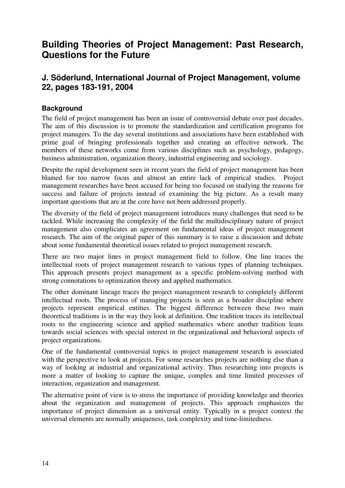# **Building Theories of Project Management: Past Research, Questions for the Future**

### **J. Söderlund, International Journal of Project Management, volume 22, pages 183-191, 2004**

#### **Background**

The field of project management has been an issue of controversial debate over past decades. The aim of this discussion is to promote the standardization and certification programs for project managers. To the day several institutions and associations have been established with prime goal of bringing professionals together and creating an effective network. The members of these networks come from various disciplines such as psychology, pedagogy, business administration, organization theory, industrial engineering and sociology.

Despite the rapid development seen in recent years the field of project management has been blamed for too narrow focus and almost an entire lack of empirical studies. Project management researches have been accused for being too focused on studying the reasons for success and failure of projects instead of examining the big picture. As a result many important questions that are at the core have not been addressed properly.

The diversity of the field of project management introduces many challenges that need to be tackled. While increasing the complexity of the field the multidisciplinary nature of project management also complicates an agreement on fundamental ideas of project management research. The aim of the original paper of this summary is to raise a discussion and debate about some fundamental theoretical issues related to project management research.

There are two major lines in project management field to follow. One line traces the intellectual roots of project management research to various types of planning techniques. This approach presents project management as a specific problem-solving method with strong connotations to optimization theory and applied mathematics.

The other dominant lineage traces the project management research to completely different intellectual roots. The process of managing projects is seen as a broader discipline where projects represent empirical entities. The biggest difference between these two main theoretical traditions is in the way they look at definition. One tradition traces its intellectual roots to the engineering science and applied mathematics where another tradition leans towards social sciences with special interest in the organizational and behavioral aspects of project organizations.

One of the fundamental controversial topics in project management research is associated with the perspective to look at projects. For some researches projects are nothing else than a way of looking at industrial and organizational activity. Thus researching into projects is more a matter of looking to capture the unique, complex and time limited processes of interaction, organization and management.

The alternative point of view is to stress the importance of providing knowledge and theories about the organization and management of projects. This approach emphasizes the importance of project dimension as a universal entity. Typically in a project context the universal elements are normally uniqueness, task complexity and time-limitedness.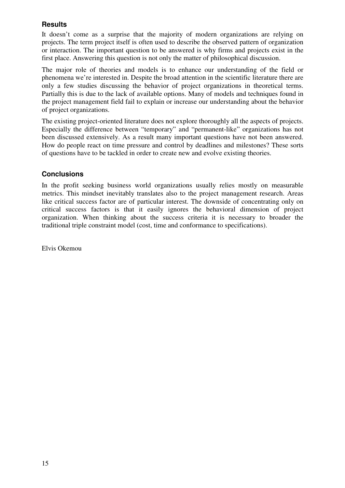#### **Results**

It doesn't come as a surprise that the majority of modern organizations are relying on projects. The term project itself is often used to describe the observed pattern of organization or interaction. The important question to be answered is why firms and projects exist in the first place. Answering this question is not only the matter of philosophical discussion.

The major role of theories and models is to enhance our understanding of the field or phenomena we're interested in. Despite the broad attention in the scientific literature there are only a few studies discussing the behavior of project organizations in theoretical terms. Partially this is due to the lack of available options. Many of models and techniques found in the project management field fail to explain or increase our understanding about the behavior of project organizations.

The existing project-oriented literature does not explore thoroughly all the aspects of projects. Especially the difference between "temporary" and "permanent-like" organizations has not been discussed extensively. As a result many important questions have not been answered. How do people react on time pressure and control by deadlines and milestones? These sorts of questions have to be tackled in order to create new and evolve existing theories.

#### **Conclusions**

In the profit seeking business world organizations usually relies mostly on measurable metrics. This mindset inevitably translates also to the project management research. Areas like critical success factor are of particular interest. The downside of concentrating only on critical success factors is that it easily ignores the behavioral dimension of project organization. When thinking about the success criteria it is necessary to broader the traditional triple constraint model (cost, time and conformance to specifications).

Elvis Okemou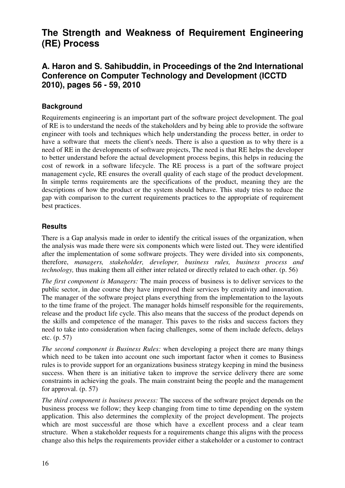# **The Strength and Weakness of Requirement Engineering (RE) Process**

# **A. Haron and S. Sahibuddin, in Proceedings of the 2nd International Conference on Computer Technology and Development (ICCTD 2010), pages 56 - 59, 2010**

#### **Background**

Requirements engineering is an important part of the software project development. The goal of RE is to understand the needs of the stakeholders and by being able to provide the software engineer with tools and techniques which help understanding the process better, in order to have a software that meets the client's needs. There is also a question as to why there is a need of RE in the developments of software projects, The need is that RE helps the developer to better understand before the actual development process begins, this helps in reducing the cost of rework in a software lifecycle. The RE process is a part of the software project management cycle, RE ensures the overall quality of each stage of the product development. In simple terms requirements are the specifications of the product, meaning they are the descriptions of how the product or the system should behave. This study tries to reduce the gap with comparison to the current requirements practices to the appropriate of requirement best practices.

#### **Results**

There is a Gap analysis made in order to identify the critical issues of the organization, when the analysis was made there were six components which were listed out. They were identified after the implementation of some software projects. They were divided into six components, therefore, *managers, stakeholder, developer, business rules, business process and technology*, thus making them all either inter related or directly related to each other. (p. 56)

*The first component is Managers:* The main process of business is to deliver services to the public sector, in due course they have improved their services by creativity and innovation. The manager of the software project plans everything from the implementation to the layouts to the time frame of the project. The manager holds himself responsible for the requirements, release and the product life cycle. This also means that the success of the product depends on the skills and competence of the manager. This paves to the risks and success factors they need to take into consideration when facing challenges, some of them include defects, delays etc. (p. 57)

*The second component is Business Rules:* when developing a project there are many things which need to be taken into account one such important factor when it comes to Business rules is to provide support for an organizations business strategy keeping in mind the business success. When there is an initiative taken to improve the service delivery there are some constraints in achieving the goals. The main constraint being the people and the management for approval. (p. 57)

*The third component is business process:* The success of the software project depends on the business process we follow; they keep changing from time to time depending on the system application. This also determines the complexity of the project development. The projects which are most successful are those which have a excellent process and a clear team structure. When a stakeholder requests for a requirements change this aligns with the process change also this helps the requirements provider either a stakeholder or a customer to contract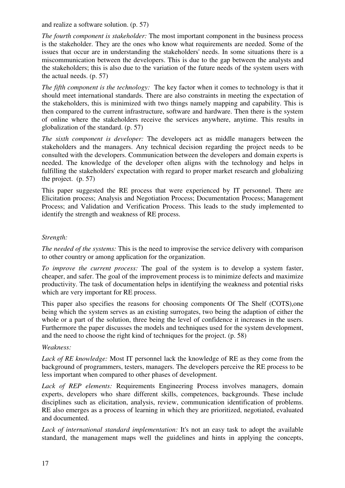and realize a software solution. (p. 57)

*The fourth component is stakeholder:* The most important component in the business process is the stakeholder. They are the ones who know what requirements are needed. Some of the issues that occur are in understanding the stakeholders' needs. In some situations there is a miscommunication between the developers. This is due to the gap between the analysts and the stakeholders; this is also due to the variation of the future needs of the system users with the actual needs. (p. 57)

*The fifth component is the technology:* The key factor when it comes to technology is that it should meet international standards. There are also constraints in meeting the expectation of the stakeholders, this is minimized with two things namely mapping and capability. This is then compared to the current infrastructure, software and hardware. Then there is the system of online where the stakeholders receive the services anywhere, anytime. This results in globalization of the standard. (p. 57)

*The sixth component is developer:* The developers act as middle managers between the stakeholders and the managers. Any technical decision regarding the project needs to be consulted with the developers. Communication between the developers and domain experts is needed. The knowledge of the developer often aligns with the technology and helps in fulfilling the stakeholders' expectation with regard to proper market research and globalizing the project. (p. 57)

This paper suggested the RE process that were experienced by IT personnel. There are Elicitation process; Analysis and Negotiation Process; Documentation Process; Management Process; and Validation and Verification Process. This leads to the study implemented to identify the strength and weakness of RE process.

#### *Strength:*

*The needed of the systems:* This is the need to improvise the service delivery with comparison to other country or among application for the organization.

*To improve the current process:* The goal of the system is to develop a system faster, cheaper, and safer. The goal of the improvement process is to minimize defects and maximize productivity. The task of documentation helps in identifying the weakness and potential risks which are very important for RE process.

This paper also specifies the reasons for choosing components Of The Shelf (COTS),one being which the system serves as an existing surrogates, two being the adaption of either the whole or a part of the solution, three being the level of confidence it increases in the users. Furthermore the paper discusses the models and techniques used for the system development, and the need to choose the right kind of techniques for the project. (p. 58)

#### *Weakness:*

*Lack of RE knowledge:* Most IT personnel lack the knowledge of RE as they come from the background of programmers, testers, managers. The developers perceive the RE process to be less important when compared to other phases of development.

*Lack of REP elements:* Requirements Engineering Process involves managers, domain experts, developers who share different skills, competences, backgrounds. These include disciplines such as elicitation, analysis, review, communication identification of problems. RE also emerges as a process of learning in which they are prioritized, negotiated, evaluated and documented.

Lack of international standard implementation: It's not an easy task to adopt the available standard, the management maps well the guidelines and hints in applying the concepts,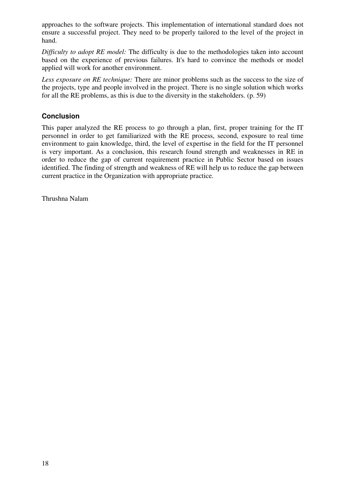approaches to the software projects. This implementation of international standard does not ensure a successful project. They need to be properly tailored to the level of the project in hand.

*Difficulty to adopt RE model:* The difficulty is due to the methodologies taken into account based on the experience of previous failures. It's hard to convince the methods or model applied will work for another environment.

*Less exposure on RE technique:* There are minor problems such as the success to the size of the projects, type and people involved in the project. There is no single solution which works for all the RE problems, as this is due to the diversity in the stakeholders. (p. 59)

#### **Conclusion**

This paper analyzed the RE process to go through a plan, first, proper training for the IT personnel in order to get familiarized with the RE process, second, exposure to real time environment to gain knowledge, third, the level of expertise in the field for the IT personnel is very important. As a conclusion, this research found strength and weaknesses in RE in order to reduce the gap of current requirement practice in Public Sector based on issues identified. The finding of strength and weakness of RE will help us to reduce the gap between current practice in the Organization with appropriate practice.

Thrushna Nalam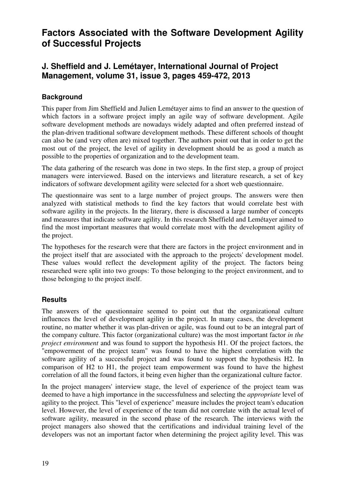# **Factors Associated with the Software Development Agility of Successful Projects**

# **J. Sheffield and J. Lemétayer, International Journal of Project Management, volume 31, issue 3, pages 459-472, 2013**

#### **Background**

This paper from Jim Sheffield and Julien Lemétayer aims to find an answer to the question of which factors in a software project imply an agile way of software development. Agile software development methods are nowadays widely adapted and often preferred instead of the plan-driven traditional software development methods. These different schools of thought can also be (and very often are) mixed together. The authors point out that in order to get the most out of the project, the level of agility in development should be as good a match as possible to the properties of organization and to the development team.

The data gathering of the research was done in two steps. In the first step, a group of project managers were interviewed. Based on the interviews and literature research, a set of key indicators of software development agility were selected for a short web questionnaire.

The questionnaire was sent to a large number of project groups. The answers were then analyzed with statistical methods to find the key factors that would correlate best with software agility in the projects. In the literary, there is discussed a large number of concepts and measures that indicate software agility. In this research Sheffield and Lemétayer aimed to find the most important measures that would correlate most with the development agility of the project.

The hypotheses for the research were that there are factors in the project environment and in the project itself that are associated with the approach to the projects' development model. These values would reflect the development agility of the project. The factors being researched were split into two groups: To those belonging to the project environment, and to those belonging to the project itself.

#### **Results**

The answers of the questionnaire seemed to point out that the organizational culture influences the level of development agility in the project. In many cases, the development routine, no matter whether it was plan-driven or agile, was found out to be an integral part of the company culture. This factor (organizational culture) was the most important factor *in the project environment* and was found to support the hypothesis H1. Of the project factors, the "empowerment of the project team" was found to have the highest correlation with the software agility of a successful project and was found to support the hypothesis H2. In comparison of H2 to H1, the project team empowerment was found to have the highest correlation of all the found factors, it being even higher than the organizational culture factor.

In the project managers' interview stage, the level of experience of the project team was deemed to have a high importance in the successfulness and selecting the *appropriate* level of agility to the project. This "level of experience" measure includes the project team's education level. However, the level of experience of the team did not correlate with the actual level of software agility, measured in the second phase of the research. The interviews with the project managers also showed that the certifications and individual training level of the developers was not an important factor when determining the project agility level. This was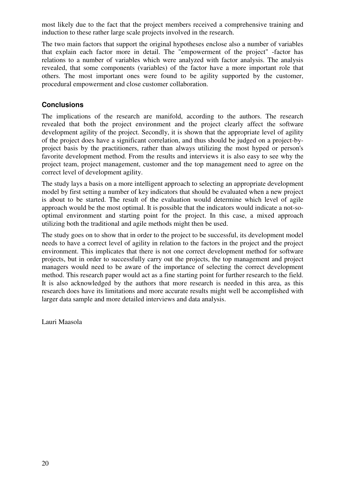most likely due to the fact that the project members received a comprehensive training and induction to these rather large scale projects involved in the research.

The two main factors that support the original hypotheses enclose also a number of variables that explain each factor more in detail. The "empowerment of the project" -factor has relations to a number of variables which were analyzed with factor analysis. The analysis revealed, that some components (variables) of the factor have a more important role that others. The most important ones were found to be agility supported by the customer, procedural empowerment and close customer collaboration.

#### **Conclusions**

The implications of the research are manifold, according to the authors. The research revealed that both the project environment and the project clearly affect the software development agility of the project. Secondly, it is shown that the appropriate level of agility of the project does have a significant correlation, and thus should be judged on a project-byproject basis by the practitioners, rather than always utilizing the most hyped or person's favorite development method. From the results and interviews it is also easy to see why the project team, project management, customer and the top management need to agree on the correct level of development agility.

The study lays a basis on a more intelligent approach to selecting an appropriate development model by first setting a number of key indicators that should be evaluated when a new project is about to be started. The result of the evaluation would determine which level of agile approach would be the most optimal. It is possible that the indicators would indicate a not-sooptimal environment and starting point for the project. In this case, a mixed approach utilizing both the traditional and agile methods might then be used.

The study goes on to show that in order to the project to be successful, its development model needs to have a correct level of agility in relation to the factors in the project and the project environment. This implicates that there is not one correct development method for software projects, but in order to successfully carry out the projects, the top management and project managers would need to be aware of the importance of selecting the correct development method. This research paper would act as a fine starting point for further research to the field. It is also acknowledged by the authors that more research is needed in this area, as this research does have its limitations and more accurate results might well be accomplished with larger data sample and more detailed interviews and data analysis.

Lauri Maasola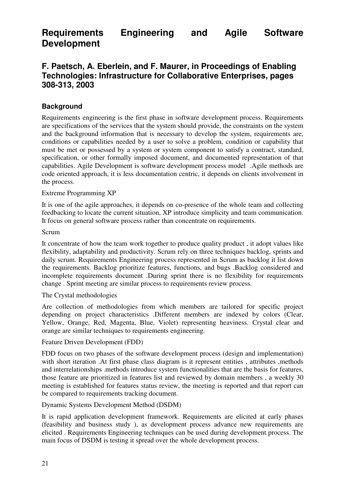**Requirements Engineering and Agile Software Development**

### **F. Paetsch, A. Eberlein, and F. Maurer, in Proceedings of Enabling Technologies: Infrastructure for Collaborative Enterprises, pages 308-313, 2003**

#### **Background**

Requirements engineering is the first phase in software development process. Requirements are specifications of the services that the system should provide, the constraints on the system and the background information that is necessary to develop the system, requirements are, conditions or capabilities needed by a user to solve a problem, condition or capability that must be met or possessed by a system or system component to satisfy a contract, standard, specification, or other formally imposed document, and documented representation of that capabilities. Agile Development is software development process model .Agile methods are code oriented approach, it is less documentation centric, it depends on clients involvement in the process.

#### Extreme Programming XP

It is one of the agile approaches, it depends on co-presence of the whole team and collecting feedbacking to locate the current situation, XP introduce simplicity and team communication. It focus on general software process rather than concentrate on requirements.

#### Scrum

It concentrate of how the team work together to produce quality product , it adopt values like flexibility, adaptability and productivity. Scrum rely on three techniques backlog, sprints and daily scrum. Requirements Engineering process represented in Scrum as backlog it list down the requirements. Backlog prioritize features, functions, and bugs .Backlog considered and incomplete requirements document .During sprint there is no flexibility for requirements change . Sprint meeting are similar process to requirements review process.

#### The Crystal methodologies

Are collection of methodologies from which members are tailored for specific project depending on project characteristics .Different members are indexed by colors (Clear, Yellow, Orange, Red, Magenta, Blue, Violet) representing heaviness. Crystal clear and orange are similar techniques to requirements engineering.

#### Feature Driven Development (FDD)

FDD focus on two phases of the software development process (design and implementation) with short iteration .At first phase class diagram is it represent entities, attributes, methods and interrelationships .methods introduce system functionalities that are the basis for features, those feature are prioritized in features list and reviewed by domain members , a weekly 30 meeting is established for features status review, the meeting is reported and that report can be compared to requirements tracking document.

#### Dynamic Systems Development Method (DSDM)

It is rapid application development framework. Requirements are elicited at early phases (feasibility and business study ), as development process advance new requirements are elicited . Requirements Engineering techniques can be used during development process. The main focus of DSDM is testing it spread over the whole development process.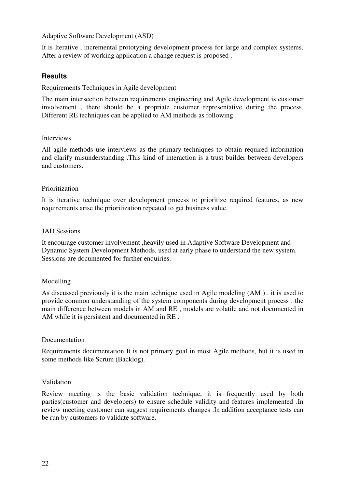Adaptive Software Development (ASD)

It is Iterative , incremental prototyping development process for large and complex systems. After a review of working application a change request is proposed .

#### **Results**

Requirements Techniques in Agile development

The main intersection between requirements engineering and Agile development is customer involvement , there should be a propriate customer representative during the process. Different RE techniques can be applied to AM methods as following

#### Interviews

All agile methods use interviews as the primary techniques to obtain required information and clarify misunderstanding .This kind of interaction is a trust builder between developers and customers.

#### Prioritization

It is iterative technique over development process to prioritize required features, as new requirements arise the prioritization repeated to get business value.

#### JAD Sessions

It encourage customer involvement ,heavily used in Adaptive Software Development and Dynamic System Development Methods, used at early phase to understand the new system. Sessions are documented for further enquiries.

#### Modelling

As discussed previously it is the main technique used in Agile modeling (AM ) . it is used to provide common understanding of the system components during development process . the main difference between models in AM and RE , models are volatile and not documented in AM while it is persistent and documented in RE .

#### Documentation

Requirements documentation It is not primary goal in most Agile methods, but it is used in some methods like Scrum (Backlog).

#### Validation

Review meeting is the basic validation technique, it is frequently used by both parties(customer and developers) to ensure schedule validity and features implemented .In review meeting customer can suggest requirements changes .In addition acceptance tests can be run by customers to validate software.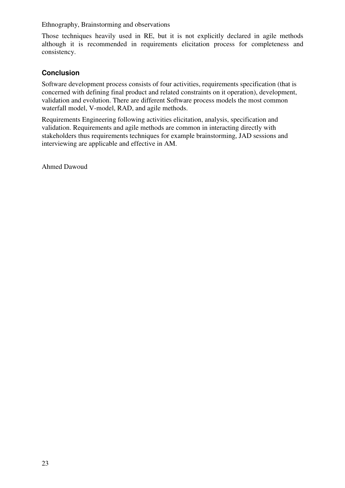Ethnography, Brainstorming and observations

Those techniques heavily used in RE, but it is not explicitly declared in agile methods although it is recommended in requirements elicitation process for completeness and consistency.

#### **Conclusion**

Software development process consists of four activities, requirements specification (that is concerned with defining final product and related constraints on it operation), development, validation and evolution. There are different Software process models the most common waterfall model, V-model, RAD, and agile methods.

Requirements Engineering following activities elicitation, analysis, specification and validation. Requirements and agile methods are common in interacting directly with stakeholders thus requirements techniques for example brainstorming, JAD sessions and interviewing are applicable and effective in AM.

Ahmed Dawoud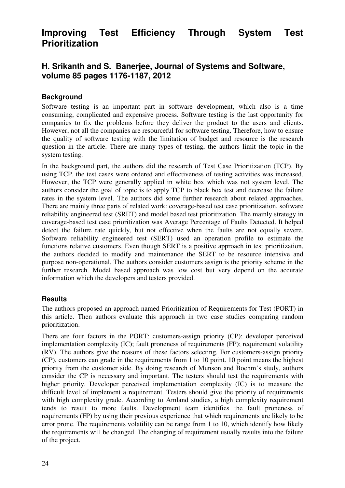# **Improving Test Efficiency Through System Test Prioritization**

### **H. Srikanth and S. Banerjee, Journal of Systems and Software, volume 85 pages 1176-1187, 2012**

#### **Background**

Software testing is an important part in software development, which also is a time consuming, complicated and expensive process. Software testing is the last opportunity for companies to fix the problems before they deliver the product to the users and clients. However, not all the companies are resourceful for software testing. Therefore, how to ensure the quality of software testing with the limitation of budget and resource is the research question in the article. There are many types of testing, the authors limit the topic in the system testing.

In the background part, the authors did the research of Test Case Prioritization (TCP). By using TCP, the test cases were ordered and effectiveness of testing activities was increased. However, the TCP were generally applied in white box which was not system level. The authors consider the goal of topic is to apply TCP to black box test and decrease the failure rates in the system level. The authors did some further research about related approaches. There are mainly three parts of related work: coverage-based test case prioritization, software reliability engineered test (SRET) and model based test prioritization. The mainly strategy in coverage-based test case prioritization was Average Percentage of Faults Detected. It helped detect the failure rate quickly, but not effective when the faults are not equally severe. Software reliability engineered test (SERT) used an operation profile to estimate the functions relative customers. Even though SERT is a positive approach in test prioritization, the authors decided to modify and maintenance the SERT to be resource intensive and purpose non-operational. The authors consider customers assign is the priority scheme in the further research. Model based approach was low cost but very depend on the accurate information which the developers and testers provided.

#### **Results**

The authors proposed an approach named Prioritization of Requirements for Test (PORT) in this article. Then authors evaluate this approach in two case studies comparing random prioritization.

There are four factors in the PORT: customers-assign priority (CP); developer perceived implementation complexity (IC); fault proneness of requirements (FP); requirement volatility (RV). The authors give the reasons of these factors selecting. For customers-assign priority (CP), customers can grade in the requirements from 1 to 10 point. 10 point means the highest priority from the customer side. By doing research of Munson and Boehm's study, authors consider the CP is necessary and important. The testers should test the requirements with higher priority. Developer perceived implementation complexity (IC) is to measure the difficult level of implement a requirement. Testers should give the priority of requirements with high complexity grade. According to Amland studies, a high complexity requirement tends to result to more faults. Development team identifies the fault proneness of requirements (FP) by using their previous experience that which requirements are likely to be error prone. The requirements volatility can be range from 1 to 10, which identify how likely the requirements will be changed. The changing of requirement usually results into the failure of the project.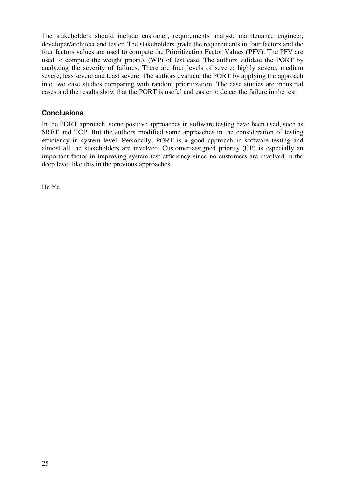The stakeholders should include customer, requirements analyst, maintenance engineer, developer/architect and tester. The stakeholders grade the requirements in four factors and the four factors values are used to compute the Prioritization Factor Values (PFV). The PFV are used to compute the weight priority (WP) of test case. The authors validate the PORT by analyzing the severity of failures. There are four levels of severe: highly severe, medium severe, less severe and least severe. The authors evaluate the PORT by applying the approach into two case studies comparing with random prioritization. The case studies are industrial cases and the results show that the PORT is useful and easier to detect the failure in the test.

#### **Conclusions**

In the PORT approach, some positive approaches in software testing have been used, such as SRET and TCP. But the authors modified some approaches in the consideration of testing efficiency in system level. Personally, PORT is a good approach in software testing and almost all the stakeholders are involved. Customer-assigned priority (CP) is especially an important factor in improving system test efficiency since no customers are involved in the deep level like this in the previous approaches.

He Ye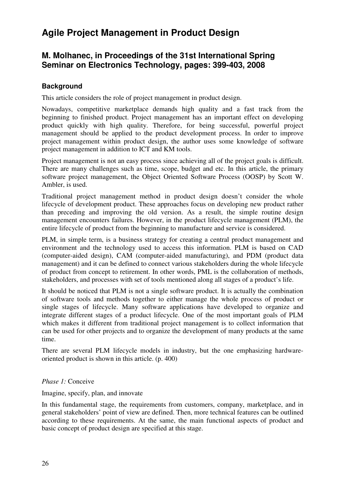# **Agile Project Management in Product Design**

### **M. Molhanec, in Proceedings of the 31st International Spring Seminar on Electronics Technology, pages: 399-403, 2008**

#### **Background**

This article considers the role of project management in product design.

Nowadays, competitive marketplace demands high quality and a fast track from the beginning to finished product. Project management has an important effect on developing product quickly with high quality. Therefore, for being successful, powerful project management should be applied to the product development process. In order to improve project management within product design, the author uses some knowledge of software project management in addition to ICT and KM tools.

Project management is not an easy process since achieving all of the project goals is difficult. There are many challenges such as time, scope, budget and etc. In this article, the primary software project management, the Object Oriented Software Process (OOSP) by Scott W. Ambler, is used.

Traditional project management method in product design doesn't consider the whole lifecycle of development product. These approaches focus on developing new product rather than preceding and improving the old version. As a result, the simple routine design management encounters failures. However, in the product lifecycle management (PLM), the entire lifecycle of product from the beginning to manufacture and service is considered.

PLM, in simple term, is a business strategy for creating a central product management and environment and the technology used to access this information. PLM is based on CAD (computer-aided design), CAM (computer-aided manufacturing), and PDM (product data management) and it can be defined to connect various stakeholders during the whole lifecycle of product from concept to retirement. In other words, PML is the collaboration of methods, stakeholders, and processes with set of tools mentioned along all stages of a product's life.

It should be noticed that PLM is not a single software product. It is actually the combination of software tools and methods together to either manage the whole process of product or single stages of lifecycle. Many software applications have developed to organize and integrate different stages of a product lifecycle. One of the most important goals of PLM which makes it different from traditional project management is to collect information that can be used for other projects and to organize the development of many products at the same time.

There are several PLM lifecycle models in industry, but the one emphasizing hardwareoriented product is shown in this article. (p. 400)

#### *Phase 1:* Conceive

Imagine, specify, plan, and innovate

In this fundamental stage, the requirements from customers, company, marketplace, and in general stakeholders' point of view are defined. Then, more technical features can be outlined according to these requirements. At the same, the main functional aspects of product and basic concept of product design are specified at this stage.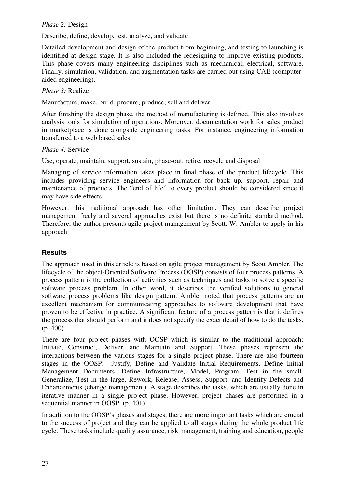#### *Phase 2:* Design

Describe, define, develop, test, analyze, and validate

Detailed development and design of the product from beginning, and testing to launching is identified at design stage. It is also included the redesigning to improve existing products. This phase covers many engineering disciplines such as mechanical, electrical, software. Finally, simulation, validation, and augmentation tasks are carried out using CAE (computeraided engineering).

*Phase 3:* Realize

Manufacture, make, build, procure, produce, sell and deliver

After finishing the design phase, the method of manufacturing is defined. This also involves analysis tools for simulation of operations. Moreover, documentation work for sales product in marketplace is done alongside engineering tasks. For instance, engineering information transferred to a web based sales.

*Phase 4:* Service

Use, operate, maintain, support, sustain, phase-out, retire, recycle and disposal

Managing of service information takes place in final phase of the product lifecycle. This includes providing service engineers and information for back up, support, repair and maintenance of products. The "end of life" to every product should be considered since it may have side effects.

However, this traditional approach has other limitation. They can describe project management freely and several approaches exist but there is no definite standard method. Therefore, the author presents agile project management by Scott. W. Ambler to apply in his approach.

#### **Results**

The approach used in this article is based on agile project management by Scott Ambler. The lifecycle of the object-Oriented Software Process (OOSP) consists of four process patterns. A process pattern is the collection of activities such as techniques and tasks to solve a specific software process problem. In other word, it describes the verified solutions to general software process problems like design pattern. Ambler noted that process patterns are an excellent mechanism for communicating approaches to software development that have proven to be effective in practice. A significant feature of a process pattern is that it defines the process that should perform and it does not specify the exact detail of how to do the tasks. (p. 400)

There are four project phases with OOSP which is similar to the traditional approach: Initiate, Construct, Deliver, and Maintain and Support. These phases represent the interactions between the various stages for a single project phase. There are also fourteen stages in the OOSP: Justify, Define and Validate Initial Requirements, Define Initial Management Documents, Define Infrastructure, Model, Program, Test in the small, Generalize, Test in the large, Rework, Release, Assess, Support, and Identify Defects and Enhancements (change management). A stage describes the tasks, which are usually done in iterative manner in a single project phase. However, project phases are performed in a sequential manner in OOSP. (p. 401)

In addition to the OOSP's phases and stages, there are more important tasks which are crucial to the success of project and they can be applied to all stages during the whole product life cycle. These tasks include quality assurance, risk management, training and education, people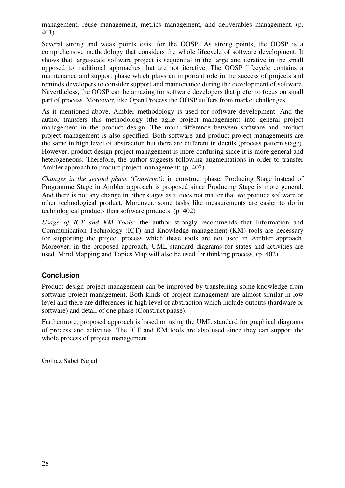management, reuse management, metrics management, and deliverables management. (p. 401)

Several strong and weak points exist for the OOSP. As strong points, the OOSP is a comprehensive methodology that considers the whole lifecycle of software development. It shows that large-scale software project is sequential in the large and iterative in the small opposed to traditional approaches that are not iterative. The OOSP lifecycle contains a maintenance and support phase which plays an important role in the success of projects and reminds developers to consider support and maintenance during the development of software. Nevertheless, the OOSP can be amazing for software developers that prefer to focus on small part of process. Moreover, like Open Process the OOSP suffers from market challenges.

As it mentioned above, Ambler methodology is used for software development. And the author transfers this methodology (the agile project management) into general project management in the product design. The main difference between software and product project management is also specified. Both software and product project managements are the same in high level of abstraction but there are different in details (process pattern stage). However, product design project management is more confusing since it is more general and heterogeneous. Therefore, the author suggests following augmentations in order to transfer Ambler approach to product project management: (p. 402)

*Changes in the second phase (Construct)*: in construct phase, Producing Stage instead of Programme Stage in Ambler approach is proposed since Producing Stage is more general. And there is not any change in other stages as it does not matter that we produce software or other technological product. Moreover, some tasks like measurements are easier to do in technological products than software products. (p. 402)

*Usage of ICT and KM Tools:* the author strongly recommends that Information and Communication Technology (ICT) and Knowledge management (KM) tools are necessary for supporting the project process which these tools are not used in Ambler approach. Moreover, in the proposed approach, UML standard diagrams for states and activities are used. Mind Mapping and Topics Map will also be used for thinking process. (p. 402).

#### **Conclusion**

Product design project management can be improved by transferring some knowledge from software project management. Both kinds of project management are almost similar in low level and there are differences in high level of abstraction which include outputs (hardware or software) and detail of one phase (Construct phase).

Furthermore, proposed approach is based on using the UML standard for graphical diagrams of process and activities. The ICT and KM tools are also used since they can support the whole process of project management.

Golnaz Sabet Nejad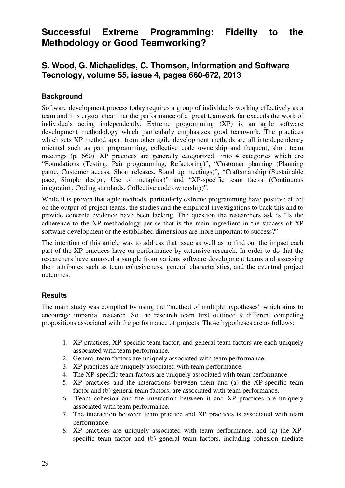# **Successful Extreme Programming: Fidelity to the Methodology or Good Teamworking?**

### **S. Wood, G. Michaelides, C. Thomson, Information and Software Tecnology, volume 55, issue 4, pages 660-672, 2013**

#### **Background**

Software development process today requires a group of individuals working effectively as a team and it is crystal clear that the performance of a great teamwork far exceeds the work of individuals acting independently. Extreme programming (XP) is an agile software development methodology which particularly emphasizes good teamwork. The practices which sets XP method apart from other agile development methods are all interdependency oriented such as pair programming, collective code ownership and frequent, short team meetings (p. 660). XP practices are generally categorized into 4 categories which are "Foundations (Testing, Pair programming, Refactoring)", "Customer planning (Planning game, Customer access, Short releases, Stand up meetings)", "Craftsmanship (Sustainable pace, Simple design, Use of metaphor)" and "XP-specific team factor (Continuous integration, Coding standards, Collective code ownership)".

While it is proven that agile methods, particularly extreme programming have positive effect on the output of project teams, the studies and the empirical investigations to back this and to provide concrete evidence have been lacking. The question the researchers ask is "Is the adherence to the XP methodology per se that is the main ingredient in the success of XP software development or the established dimensions are more important to success?"

The intention of this article was to address that issue as well as to find out the impact each part of the XP practices have on performance by extensive research. In order to do that the researchers have amassed a sample from various software development teams and assessing their attributes such as team cohesiveness, general characteristics, and the eventual project outcomes.

#### **Results**

The main study was compiled by using the "method of multiple hypotheses" which aims to encourage impartial research. So the research team first outlined 9 different competing propositions associated with the performance of projects. Those hypotheses are as follows:

- 1. XP practices, XP-specific team factor, and general team factors are each uniquely associated with team performance.
- 2. General team factors are uniquely associated with team performance.
- 3. XP practices are uniquely associated with team performance.
- 4. The XP-specific team factors are uniquely associated with team performance.
- 5. XP practices and the interactions between them and (a) the XP-specific team factor and (b) general team factors, are associated with team performance.
- 6. Team cohesion and the interaction between it and XP practices are uniquely associated with team performance.
- 7. The interaction between team practice and XP practices is associated with team performance.
- 8. XP practices are uniquely associated with team performance, and (a) the XPspecific team factor and (b) general team factors, including cohesion mediate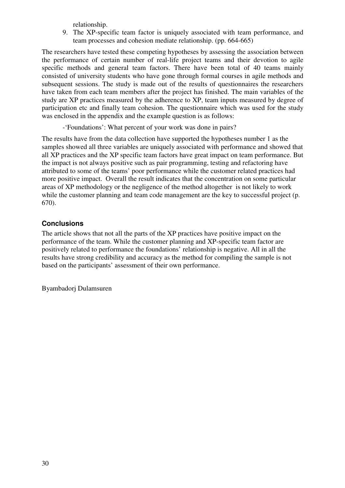relationship.

9. The XP-specific team factor is uniquely associated with team performance, and team processes and cohesion mediate relationship. (pp. 664-665)

The researchers have tested these competing hypotheses by assessing the association between the performance of certain number of real-life project teams and their devotion to agile specific methods and general team factors. There have been total of 40 teams mainly consisted of university students who have gone through formal courses in agile methods and subsequent sessions. The study is made out of the results of questionnaires the researchers have taken from each team members after the project has finished. The main variables of the study are XP practices measured by the adherence to XP, team inputs measured by degree of participation etc and finally team cohesion. The questionnaire which was used for the study was enclosed in the appendix and the example question is as follows:

-'Foundations': What percent of your work was done in pairs?

The results have from the data collection have supported the hypotheses number 1 as the samples showed all three variables are uniquely associated with performance and showed that all XP practices and the XP specific team factors have great impact on team performance. But the impact is not always positive such as pair programming, testing and refactoring have attributed to some of the teams' poor performance while the customer related practices had more positive impact. Overall the result indicates that the concentration on some particular areas of XP methodology or the negligence of the method altogether is not likely to work while the customer planning and team code management are the key to successful project (p. 670).

#### **Conclusions**

The article shows that not all the parts of the XP practices have positive impact on the performance of the team. While the customer planning and XP-specific team factor are positively related to performance the foundations' relationship is negative. All in all the results have strong credibility and accuracy as the method for compiling the sample is not based on the participants' assessment of their own performance.

Byambadorj Dulamsuren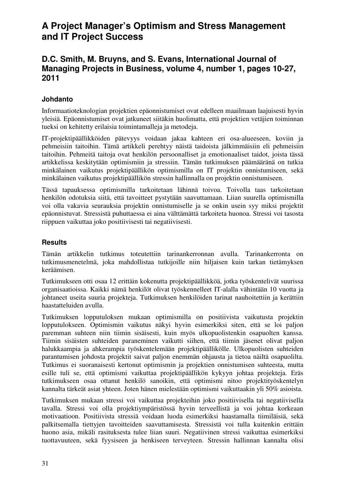# **A Project Manager's Optimism and Stress Management and IT Project Success**

### **D.C. Smith, M. Bruyns, and S. Evans, International Journal of Managing Projects in Business, volume 4, number 1, pages 10-27, 2011**

#### **Johdanto**

Informaatioteknologian projektien epäonnistumiset ovat edelleen maailmaan laajuisesti hyvin yleisiä. Epäonnistumiset ovat jatkuneet siitäkin huolimatta, että projektien vetäjien toiminnan tueksi on kehitetty erilaisia toimintamalleja ja metodeja.

IT-projektipäällikköiden pätevyys voidaan jakaa kahteen eri osa-alueeseen, koviin ja pehmeisiin taitoihin. Tämä artikkeli perehtyy näistä taidoista jälkimmäisiin eli pehmeisiin taitoihin. Pehmeitä taitoja ovat henkilön persoonalliset ja emotionaaliset taidot, joista tässä artikkelissa keskitytään optimismiin ja stressiin. Tämän tutkimuksen päämääränä on tutkia minkälainen vaikutus projektipäällikön optimismilla on IT projektin onnistumiseen, sekä minkälainen vaikutus projektipäällikön stressin hallinnalla on projektin onnistumiseen.

Tässä tapauksessa optimismilla tarkoitetaan lähinnä toivoa. Toivolla taas tarkoitetaan henkilön odotuksia siitä, että tavoitteet pystytään saavuttamaan. Liian suurella optimismilla voi olla vakavia seurauksia projektin onnistumiselle ja se onkin usein syy miksi projektit epäonnistuvat. Stressistä puhuttaessa ei aina välttämättä tarkoiteta huonoa. Stressi voi tasosta riippuen vaikuttaa joko positiivisesti tai negatiivisesti.

#### **Results**

Tämän artikkelin tutkimus toteutettiin tarinankerronnan avulla. Tarinankerronta on tutkimusmenetelmä, joka mahdollistaa tutkijoille niin hiljaisen kuin tarkan tietämyksen keräämisen.

Tutkimukseen otti osaa 12 erittäin kokenutta projektipäällikköä, jotka työskentelivät suurissa organisaatioissa. Kaikki nämä henkilöt olivat työskennelleet IT-alalla vähintään 10 vuotta ja johtaneet useita suuria projekteja. Tutkimuksen henkilöiden tarinat nauhoitettiin ja kerättiin haastatteluiden avulla.

Tutkimuksen lopputuloksen mukaan optimismilla on positiivista vaikutusta projektin lopputulokseen. Optimismin vaikutus näkyi hyvin esimerkiksi siten, että se loi paljon paremman suhteen niin tiimin sisäisesti, kuin myös ulkopuolistenkin osapuolten kanssa. Tiimin sisäisten suhteiden paraneminen vaikutti siihen, että tiimin jäsenet olivat paljon halukkaampia ja ahkerampia työskentelemään projektipäällikölle. Ulkopuolisten suhteiden parantumisen johdosta projektit saivat paljon enemmän ohjausta ja tietoa näiltä osapuolilta. Tutkimus ei suoranaisesti kertonut optimismin ja projektien onnistumisen suhteesta, mutta esille tuli se, että optimismi vaikuttaa projektipäällikön kykyyn johtaa projekteja. Eräs tutkimukseen osaa ottanut henkilö sanoikin, että optimismi nitoo projektityöskentelyn kannalta tärkeät asiat yhteen. Joten hänen mielestään optimismi vaikuttaakin yli 50% asioista.

Tutkimuksen mukaan stressi voi vaikuttaa projekteihin joko positiivisella tai negatiivisella tavalla. Stressi voi olla projektiympäristössä hyvin terveellistä ja voi johtaa korkeaan motivaatioon. Positiivista stressiä voidaan luoda esimerkiksi haastamalla tiimiläisiä, sekä palkitsemalla tiettyjen tavoitteiden saavuttamisesta. Stressistä voi tulla kuitenkin erittäin huono asia, mikäli rasituksesta tulee liian suuri. Negatiivinen stressi vaikuttaa esimerkiksi tuottavuuteen, sekä fyysiseen ja henkiseen terveyteen. Stressin hallinnan kannalta olisi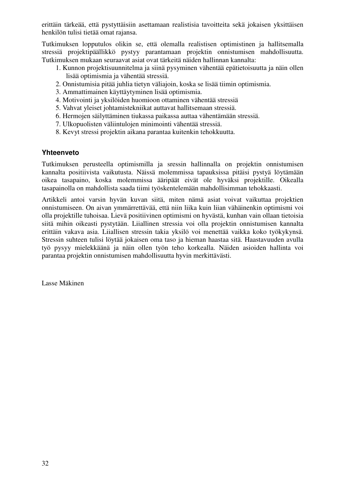erittäin tärkeää, että pystyttäisiin asettamaan realistisia tavoitteita sekä jokaisen yksittäisen henkilön tulisi tietää omat rajansa.

Tutkimuksen lopputulos olikin se, että olemalla realistisen optimistinen ja hallitsemalla stressiä projektipäällikkö pystyy parantamaan projektin onnistumisen mahdollisuutta. Tutkimuksen mukaan seuraavat asiat ovat tärkeitä näiden hallinnan kannalta:

- 1. Kunnon projektisuunnitelma ja siinä pysyminen vähentää epätietoisuutta ja näin ollen lisää optimismia ja vähentää stressiä.
- 2. Onnistumisia pitää juhlia tietyn väliajoin, koska se lisää tiimin optimismia.
- 3. Ammattimainen käyttäytyminen lisää optimismia.
- 4. Motivointi ja yksilöiden huomioon ottaminen vähentää stressiä
- 5. Vahvat yleiset johtamistekniikat auttavat hallitsemaan stressiä.
- 6. Hermojen säilyttäminen tiukassa paikassa auttaa vähentämään stressiä.
- 7. Ulkopuolisten väliintulojen minimointi vähentää stressiä.
- 8. Kevyt stressi projektin aikana parantaa kuitenkin tehokkuutta.

#### **Yhteenveto**

Tutkimuksen perusteella optimismilla ja sressin hallinnalla on projektin onnistumisen kannalta positiivista vaikutusta. Näissä molemmissa tapauksissa pitäisi pystyä löytämään oikea tasapaino, koska molemmissa ääripäät eivät ole hyväksi projektille. Oikealla tasapainolla on mahdollista saada tiimi työskentelemään mahdollisimman tehokkaasti.

Artikkeli antoi varsin hyvän kuvan siitä, miten nämä asiat voivat vaikuttaa projektien onnistumiseen. On aivan ymmärrettävää, että niin liika kuin liian vähäinenkin optimismi voi olla projektille tuhoisaa. Lievä positiivinen optimismi on hyvästä, kunhan vain ollaan tietoisia siitä mihin oikeasti pystytään. Liiallinen stressia voi olla projektin onnistumisen kannalta erittäin vakava asia. Liiallisen stressin takia yksilö voi menettää vaikka koko työkykynsä. Stressin suhteen tulisi löytää jokaisen oma taso ja hieman haastaa sitä. Haastavuuden avulla työ pysyy mielekkäänä ja näin ollen työn teho korkealla. Näiden asioiden hallinta voi parantaa projektin onnistumisen mahdollisuutta hyvin merkittävästi.

Lasse Mäkinen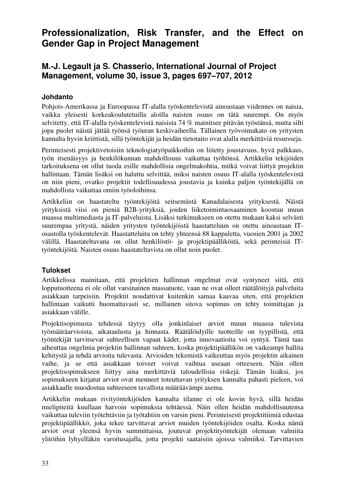# **Professionalization, Risk Transfer, and the Effect on Gender Gap in Project Management**

# **M.-J. Legault ja S. Chasserio, International Journal of Project Management, volume 30, issue 3, pages 697–707, 2012**

#### **Johdanto**

Pohjois-Amerikassa ja Euroopassa IT-alalla työskentelevistä ainoastaan viidennes on naisia, vaikka yleisesti korkeakoulutetuilla aloilla naisten osuus on tätä suurempi. On myös selvitetty, että IT-alalla työskentelevistä naisista 74 % mainitsee pitävän työstänsä, mutta silti jopa puolet näistä jättää työnsä työuran keskivaiheella. Tällainen työvoimakato on yritysten kannalta hyvin kriittistä, sillä työntekijät ja heidän tietotaito ovat alalla merkittäviä resursseja.

Perinteisesti projektivetoisiin teknologiatyöpaikkoihin on liitetty joustavuus, hyvä palkkaus, työn itsenäisyys ja henkilökunnan mahdollisuus vaikuttaa työhönsä. Artikkelin tekijöiden tarkoituksena on ollut tuoda esille mahdollisia ongelmakohtia, mitkä voivat liittyä projektin hallintaan. Tämän lisäksi on haluttu selvittää, miksi naisten osuus IT-alalla työskentelevistä on niin pieni, ovatko projektit todellisuudessa joustavia ja kuinka paljon työntekijällä on mahdollista vaikuttaa omiin työoloihinsa.

Artikkeliin on haastateltu työntekijöitä seitsemästä Kanadalaisesta yrityksestä. Näistä yrityksistä viisi on pieniä B2B-yrityksiä, joiden liiketoimintaosaaminen koostuu muun muassa multimediasta ja IT-palveluista. Lisäksi tutkimukseen on otettu mukaan kaksi selvästi suurempaa yritystä, näiden yritysten työntekijöistä haastatteluun on otettu ainoastaan ITosastolla työskentelevät. Haastatteluita on tehty yhteensä 88 kappaletta, vuosien 2001 ja 2002 välillä. Haastateltavana on ollut henkilöstö- ja projektipäälliköitä, sekä perinteisiä ITtyöntekijöitä. Naisten osuus haastateltavista on ollut noin puolet.

#### **Tulokset**

Artikkelissa mainitaan, että projektien hallinnan ongelmat ovat syntyneet siitä, että lopputuotteena ei ole ollut varsinainen massatuote, vaan ne ovat olleet räätälöityjä palveluita asiakkaan tarpeisiin. Projektit noudattivat kuitenkin samaa kaavaa siten, että projektien hallintaan vaikutti huomattavasti se, millainen sitova sopimus on tehty toimittajan ja asiakkaan välille.

Projektisopimusta tehdessä täytyy olla jonkinlaiset arviot muun muassa tulevista työmääräarvioista, aikataulusta ja hinnasta. Räätälöidyille tuotteille on tyypillistä, että työntekijät tarvitsevat suhteellisen vapaat kädet, jotta innovaatioita voi syntyä. Tämä taas aiheuttaa ongelmia projektin hallinnan suhteen, koska projektipäällikön on vaikeampi hallita kehitystä ja tehdä arvioita tulevasta. Arvioiden tekemistä vaikeuttaa myös projektin aikainen vaihe, ja se että asiakkaan toiveet voivat vaihtua useaan otteeseen. Näin ollen projektisopimukseen liittyy aina merkittäviä taloudellisia riskejä. Tämän lisäksi, jos sopimukseen kirjatut arviot ovat menneet toteuttavan yrityksen kannalta pahasti pieleen, voi asiakkaalle muodostua suhteeseen tavallista määräävämpi asema.

Artikkelin mukaan rivityöntekijöiden kannalta tilanne ei ole kovin hyvä, sillä heidän mielipiteitä kuullaan harvoin sopimuksia tehtäessä. Näin ollen heidän mahdollisuutensa vaikuttaa tuleviin työtehtäviin ja työtahtiin on varsin pieni. Perinteisesti projektitiimiä edustaa projektipäällikkö, joka tekee tarvittavat arviot muiden työntekijöiden osalta. Koska nämä arviot ovat yleensä hyvin summittaisia, joutuvat projektityöntekijät olemaan valmiita ylitöihin lyhyelläkin varoitusajalla, jotta projekti saataisiin ajoissa valmiiksi. Tarvittavien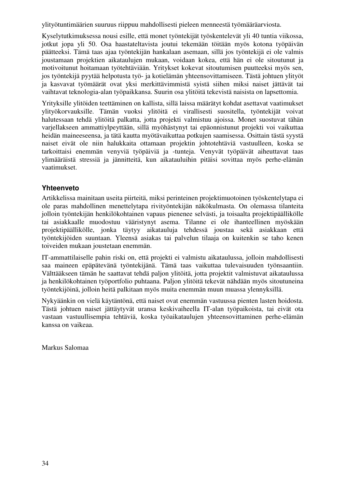ylityötuntimäärien suuruus riippuu mahdollisesti pieleen menneestä työmääräarviosta.

Kyselytutkimuksessa nousi esille, että monet työntekijät työskentelevät yli 40 tuntia viikossa, jotkut jopa yli 50. Osa haastateltavista joutui tekemään töitään myös kotona työpäivän päätteeksi. Tämä taas ajaa työntekijän hankalaan asemaan, sillä jos työntekijä ei ole valmis joustamaan projektien aikataulujen mukaan, voidaan kokea, että hän ei ole sitoutunut ja motivoitunut hoitamaan työtehtäviään. Yritykset kokevat sitoutumisen puutteeksi myös sen, jos työntekijä pyytää helpotusta työ- ja kotielämän yhteensovittamiseen. Tästä johtuen ylityöt ja kasvavat työmäärät ovat yksi merkittävimmistä syistä siihen miksi naiset jättävät tai vaihtavat teknologia-alan työpaikkansa. Suurin osa ylitöitä tekevistä naisista on lapsettomia.

Yrityksille ylitöiden teettäminen on kallista, sillä laissa määrätyt kohdat asettavat vaatimukset ylityökorvauksille. Tämän vuoksi ylitöitä ei virallisesti suositella, työntekijät voivat halutessaan tehdä ylitöitä palkatta, jotta projekti valmistuu ajoissa. Monet suostuvat tähän varjellakseen ammattiylpeyttään, sillä myöhästynyt tai epäonnistunut projekti voi vaikuttaa heidän maineeseensa, ja tätä kautta myötävaikuttaa potkujen saamisessa. Osittain tästä syystä naiset eivät ole niin halukkaita ottamaan projektin johtotehtäviä vastuulleen, koska se tarkoittaisi enemmän venyviä työpäiviä ja -tunteja. Venyvät työpäivät aiheuttavat taas ylimääräistä stressiä ja jännitteitä, kun aikatauluihin pitäisi sovittaa myös perhe-elämän vaatimukset.

#### **Yhteenveto**

Artikkelissa mainitaan useita piirteitä, miksi perinteinen projektimuotoinen työskentelytapa ei ole paras mahdollinen menettelytapa rivityöntekijän näkökulmasta. On olemassa tilanteita jolloin työntekijän henkilökohtainen vapaus pienenee selvästi, ja toisaalta projektipäällikölle tai asiakkaalle muodostuu vääristynyt asema. Tilanne ei ole ihanteellinen myöskään projektipäällikölle, jonka täytyy aikatauluja tehdessä joustaa sekä asiakkaan että työntekijöiden suuntaan. Yleensä asiakas tai palvelun tilaaja on kuitenkin se taho kenen toiveiden mukaan joustetaan enemmän.

IT-ammattilaiselle pahin riski on, että projekti ei valmistu aikataulussa, jolloin mahdollisesti saa maineen epäpätevänä työntekijänä. Tämä taas vaikuttaa tulevaisuuden työnsaantiin. Välttääkseen tämän he saattavat tehdä paljon ylitöitä, jotta projektit valmistuvat aikataulussa ja henkilökohtainen työportfolio puhtaana. Paljon ylitöitä tekevät nähdään myös sitoutuneina työntekijöinä, jolloin heitä palkitaan myös muita enemmän muun muassa ylennyksillä.

Nykyäänkin on vielä käytäntönä, että naiset ovat enemmän vastuussa pienten lasten hoidosta. Tästä johtuen naiset jättäytyvät uransa keskivaiheella IT-alan työpaikoista, tai eivät ota vastaan vastuullisempia tehtäviä, koska työaikataulujen yhteensovittaminen perhe-elämän kanssa on vaikeaa.

Markus Salomaa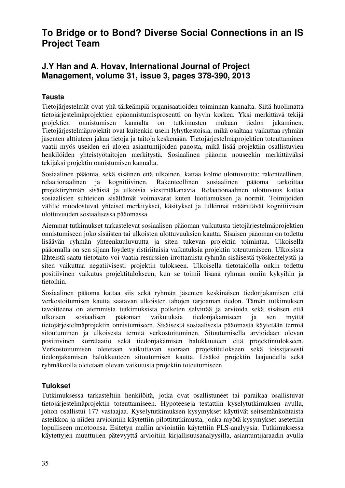# **To Bridge or to Bond? Diverse Social Connections in an IS Project Team**

# **J.Y Han and A. Hovav, International Journal of Project Management, volume 31, issue 3, pages 378-390, 2013**

### **Tausta**

Tietojärjestelmät ovat yhä tärkeämpiä organisaatioiden toiminnan kannalta. Siitä huolimatta tietojärjestelmäprojektien epäonnistumisprosentti on hyvin korkea. Yksi merkittävä tekijä projektien onnistumisen kannalta on tutkimusten mukaan tiedon jakaminen. Tietojärjestelmäprojektit ovat kuitenkin usein lyhytkestoisia, mikä osaltaan vaikuttaa ryhmän jäsenten alttiuteen jakaa tietoja ja taitoja keskenään. Tietojärjestelmäprojektien toteuttaminen vaatii myös useiden eri alojen asiantuntijoiden panosta, mikä lisää projektiin osallistuvien henkilöiden yhteistyötaitojen merkitystä. Sosiaalinen pääoma nouseekin merkittäväksi tekijäksi projektin onnistumisen kannalta.

Sosiaalinen pääoma, sekä sisäinen että ulkoinen, kattaa kolme ulottuvuutta: rakenteellinen, relaationaalinen ja kognitiivinen. Rakenteellinen sosiaalinen pääoma tarkoittaa projektiryhmän sisäisiä ja ulkoisia viestintäkanavia. Relaationaalinen ulottuvuus kattaa sosiaalisten suhteiden sisältämät voimavarat kuten luottamuksen ja normit. Toimijoiden välille muodostuvat yhteiset merkitykset, käsitykset ja tulkinnat määrittävät kognitiivisen ulottuvuuden sosiaalisessa pääomassa.

Aiemmat tutkimukset tarkastelevat sosiaalisen pääoman vaikutusta tietojärjestelmäprojektien onnistumiseen joko sisäisten tai ulkoisten ulottuvuuksien kautta. Sisäisen pääoman on todettu lisäävän ryhmän yhteenkuuluvuutta ja siten tukevan projektin toimintaa. Ulkoisella pääomalla on sen sijaan löydetty ristiriitaisia vaikutuksia projektin toteutumiseen. Ulkoisista lähteistä saatu tietotaito voi vaatia resurssien irrottamista ryhmän sisäisestä työskentelystä ja siten vaikuttaa negatiivisesti projektin tulokseen. Ulkoisella tietotaidolla onkin todettu positiivinen vaikutus projektitulokseen, kun se toimii lisänä ryhmän omiin kykyihin ja tietoihin.

Sosiaalinen pääoma kattaa siis sekä ryhmän jäsenten keskinäisen tiedonjakamisen että verkostoitumisen kautta saatavan ulkoisten tahojen tarjoaman tiedon. Tämän tutkimuksen tavoitteena on aiemmista tutkimuksista poiketen selvittää ja arvioida sekä sisäisen että ulkoisen sosiaalisen pääoman vaikutuksia tiedonjakamiseen ja sen myötä tietojärjestelmäprojektin onnistumiseen. Sisäisestä sosiaalisesta pääomasta käytetään termiä sitoutuminen ja ulkoisesta termiä verkostoituminen. Sitoutumisella arvioidaan olevan positiivinen korrelaatio sekä tiedonjakamisen halukkuuteen että projektintulokseen. Verkostoitumisen oletetaan vaikuttavan suoraan projektitulokseen sekä toissijaisesti tiedonjakamisen halukkuuteen sitoutumisen kautta. Lisäksi projektin laajuudella sekä ryhmäkoolla oletetaan olevan vaikutusta projektin toteutumiseen.

### **Tulokset**

Tutkimuksessa tarkasteltiin henkilöitä, jotka ovat osallistuneet tai paraikaa osallistuvat tietojärjestelmäprojektin toteuttamiseen. Hypoteeseja testattiin kyselytutkimuksen avulla, johon osallistui 177 vastaajaa. Kyselytutkimuksen kysymykset käyttivät seitsemänkohtaista asteikkoa ja niiden arviointiin käytettiin pilottitutkimusta, jonka myötä kysymykset asetettiin lopulliseen muotoonsa. Esitetyn mallin arviointiin käytettiin PLS-analyysia. Tutkimuksessa käytettyjen muuttujien pätevyyttä arvioitiin kirjallisuusanalyysilla, asiantuntijaraadin avulla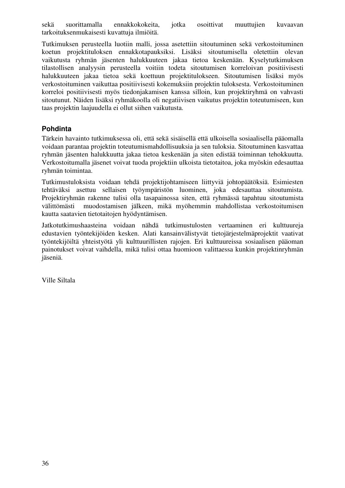sekä suorittamalla ennakkokokeita, jotka osoittivat muuttujien kuvaavan tarkoituksenmukaisesti kuvattuja ilmiöitä.

Tutkimuksen perusteella luotiin malli, jossa asetettiin sitoutuminen sekä verkostoituminen koetun projektituloksen ennakkotapauksiksi. Lisäksi sitoutumisella oletettiin olevan vaikutusta ryhmän jäsenten halukkuuteen jakaa tietoa keskenään. Kyselytutkimuksen tilastollisen analyysin perusteella voitiin todeta sitoutumisen korreloivan positiivisesti halukkuuteen jakaa tietoa sekä koettuun projektitulokseen. Sitoutumisen lisäksi myös verkostoituminen vaikuttaa positiivisesti kokemuksiin projektin tuloksesta. Verkostoituminen korreloi positiivisesti myös tiedonjakamisen kanssa silloin, kun projektiryhmä on vahvasti sitoutunut. Näiden lisäksi ryhmäkoolla oli negatiivisen vaikutus projektin toteutumiseen, kun taas projektin laajuudella ei ollut siihen vaikutusta.

### **Pohdinta**

Tärkein havainto tutkimuksessa oli, että sekä sisäisellä että ulkoisella sosiaalisella pääomalla voidaan parantaa projektin toteutumismahdollisuuksia ja sen tuloksia. Sitoutuminen kasvattaa ryhmän jäsenten halukkuutta jakaa tietoa keskenään ja siten edistää toiminnan tehokkuutta. Verkostoitumalla jäsenet voivat tuoda projektiin ulkoista tietotaitoa, joka myöskin edesauttaa ryhmän toimintaa.

Tutkimustuloksista voidaan tehdä projektijohtamiseen liittyviä johtopäätöksiä. Esimiesten tehtäväksi asettuu sellaisen työympäristön luominen, joka edesauttaa sitoutumista. Projektiryhmän rakenne tulisi olla tasapainossa siten, että ryhmässä tapahtuu sitoutumista välittömästi muodostamisen jälkeen, mikä myöhemmin mahdollistaa verkostoitumisen kautta saatavien tietotaitojen hyödyntämisen.

Jatkotutkimushaasteina voidaan nähdä tutkimustulosten vertaaminen eri kulttuureja edustavien työntekijöiden kesken. Alati kansainvälistyvät tietojärjestelmäprojektit vaativat työntekijöiltä yhteistyötä yli kulttuurillisten rajojen. Eri kulttuureissa sosiaalisen pääoman painotukset voivat vaihdella, mikä tulisi ottaa huomioon valittaessa kunkin projektinryhmän jäseniä.

Ville Siltala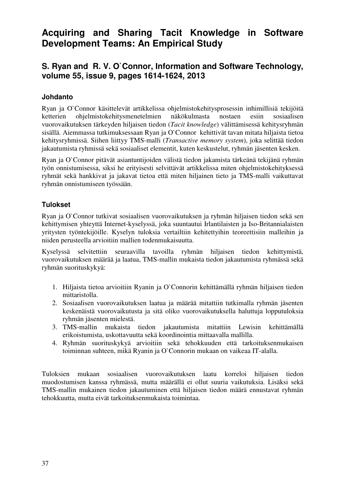# **Acquiring and Sharing Tacit Knowledge in Software Development Teams: An Empirical Study**

# **S. Ryan and R. V. O`Connor, Information and Software Technology, volume 55, issue 9, pages 1614-1624, 2013**

#### **Johdanto**

Ryan ja O`Connor käsittelevät artikkelissa ohjelmistokehitysprosessin inhimillisiä tekijöitä ketterien ohjelmistokehitysmenetelmien näkökulmasta nostaen esiin sosiaalisen vuorovaikutuksen tärkeyden hiljaisen tiedon (*Tacit knowledge*) välittämisessä kehitysryhmän sisällä. Aiemmassa tutkimuksessaan Ryan ja O`Connor kehittivät tavan mitata hiljaista tietoa kehitysryhmissä. Siihen liittyy TMS-malli (*Transactive memory system*), joka selittää tiedon jakautumista ryhmissä sekä sosiaaliset elementit, kuten keskustelut, ryhmän jäsenten kesken.

Ryan ja O`Connor pitävät asiantuntijoiden välistä tiedon jakamista tärkeänä tekijänä ryhmän työn onnistumisessa, siksi he erityisesti selvittävät artikkelissa miten ohjelmistokehityksessä ryhmät sekä hankkivat ja jakavat tietoa että miten hiljainen tieto ja TMS-malli vaikuttavat ryhmän onnistumiseen työssään.

#### **Tulokset**

Ryan ja O`Connor tutkivat sosiaalisen vuorovaikutuksen ja ryhmän hiljaisen tiedon sekä sen kehittymisen yhteyttä Internet-kyselyssä, joka suuntautui Irlantilaisten ja Iso-Britannialaisten yritysten työntekijöille. Kyselyn tuloksia vertailtiin kehitettyihin teoreettisiin malleihin ja niiden perusteella arvioitiin mallien todenmukaisuutta.

Kyselyssä selvitettiin seuraavilla tavoilla ryhmän hiljaisen tiedon kehittymistä, vuorovaikutuksen määrää ja laatua, TMS-mallin mukaista tiedon jakautumista ryhmässä sekä ryhmän suorituskykyä:

- 1. Hiljaista tietoa arvioitiin Ryanin ja O`Connorin kehittämällä ryhmän hiljaisen tiedon mittaristolla.
- 2. Sosiaalisen vuorovaikutuksen laatua ja määrää mitattiin tutkimalla ryhmän jäsenten keskenäistä vuorovaikutusta ja sitä oliko vuorovaikutuksella haluttuja lopputuloksia ryhmän jäsenten mielestä.
- 3. TMS-mallin mukaista tiedon jakautumista mitattiin Lewisin kehittämällä erikoistumista, uskottavuutta sekä koordinointia mittaavalla mallilla.
- 4. Ryhmän suorituskykyä arvioitiin sekä tehokkuuden että tarkoituksenmukaisen toiminnan suhteen, mikä Ryanin ja O`Connorin mukaan on vaikeaa IT-alalla.

Tuloksien mukaan sosiaalisen vuorovaikutuksen laatu korreloi hiljaisen tiedon muodostumisen kanssa ryhmässä, mutta määrällä ei ollut suuria vaikutuksia. Lisäksi sekä TMS-mallin mukainen tiedon jakautuminen että hiljaisen tiedon määrä ennustavat ryhmän tehokkuutta, mutta eivät tarkoituksenmukaista toimintaa.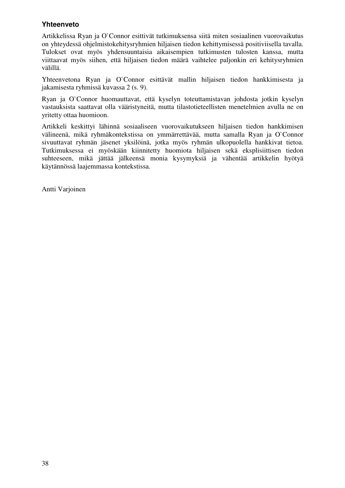#### **Yhteenveto**

Artikkelissa Ryan ja O`Connor esittivät tutkimuksensa siitä miten sosiaalinen vuorovaikutus on yhteydessä ohjelmistokehitysryhmien hiljaisen tiedon kehittymisessä positiviisella tavalla. Tulokset ovat myös yhdensuuntaisia aikaisempien tutkimusten tulosten kanssa, mutta viittaavat myös siihen, että hiljaisen tiedon määrä vaihtelee paljonkin eri kehitysryhmien välillä.

Yhteenvetona Ryan ja O`Connor esittävät mallin hiljaisen tiedon hankkimisesta ja jakamisesta ryhmissä kuvassa 2 (s. 9).

Ryan ja O`Connor huomauttavat, että kyselyn toteuttamistavan johdosta jotkin kyselyn vastauksista saattavat olla vääristyneitä, mutta tilastotieteellisten menetelmien avulla ne on yritetty ottaa huomioon.

Artikkeli keskittyi lähinnä sosiaaliseen vuorovaikutukseen hiljaisen tiedon hankkimisen välineenä, mikä ryhmäkontekstissa on ymmärrettävää, mutta samalla Ryan ja O`Connor sivuuttavat ryhmän jäsenet yksilöinä, jotka myös ryhmän ulkopuolella hankkivat tietoa. Tutkimuksessa ei myöskään kiinnitetty huomiota hiljaisen sekä eksplisiittisen tiedon suhteeseen, mikä jättää jälkeensä monia kysymyksiä ja vähentää artikkelin hyötyä käytännössä laajemmassa kontekstissa.

Antti Varjoinen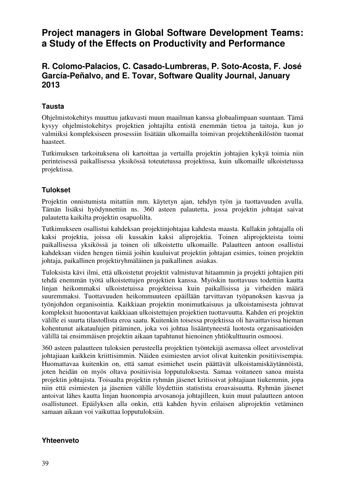# **Project managers in Global Software Development Teams: a Study of the Effects on Productivity and Performance**

### **R. Colomo-Palacios, C. Casado-Lumbreras, P. Soto-Acosta, F. José García-Peñalvo, and E. Tovar, Software Quality Journal, January 2013**

#### **Tausta**

Ohjelmistokehitys muuttuu jatkuvasti muun maailman kanssa globaalimpaan suuntaan. Tämä kysyy ohjelmistokehitys projektien johtajilta entistä enemmän tietoa ja taitoja, kun jo valmiiksi kompleksiseen prosessiin lisätään ulkomailla toimivan projektihenkilöstön tuomat haasteet.

Tutkimuksen tarkoituksena oli kartoittaa ja vertailla projektin johtajien kykyä toimia niin perinteisessä paikallisessa yksikössä toteutetussa projektissa, kuin ulkomaille ulkoistetussa projektissa.

#### **Tulokset**

Projektin onnistumista mitattiin mm. käytetyn ajan, tehdyn työn ja tuottavuuden avulla. Tämän lisäksi hyödynnettiin ns. 360 asteen palautetta, jossa projektin johtajat saivat palautetta kaikilta projektin osapuolilta.

Tutkimukseen osallistui kahdeksan projektinjohtajaa kahdesta maasta. Kullakin johtajalla oli kaksi projektia, joissa oli kussakin kaksi aliprojektia. Toinen aliprojekteista toimi paikallisessa yksikössä ja toinen oli ulkoistettu ulkomaille. Palautteen antoon osallistui kahdeksan viiden hengen tiimiä joihin kuuluivat projektin johtajan esimies, toinen projektin johtaja, paikallinen projektiryhmäläinen ja paikallinen asiakas.

Tuloksista kävi ilmi, että ulkoistetut projektit valmistuvat hitaammin ja projekti johtajien piti tehdä enemmän työtä ulkoistettujen projektien kanssa. Myöskin tuottavuus todettiin kautta linjan heikommaksi ulkoistetuissa projekteissa kuin paikallisissa ja virheiden määrä suuremmaksi. Tuottavuuden heikommuuteen epäillään tarvittavan työpanoksen kasvua ja työnjohdon organisointia. Kaikkiaan projektin monimutkaisuus ja ulkoistamisesta johtuvat kompleksit huonontavat kaikkiaan ulkoistettujen projektien tuottavuutta. Kahden eri projektin välille ei suurta tilastollista eroa saatu. Kuitenkin toisessa projektissa oli havaittavissa hieman kohentunut aikataulujen pitäminen, joka voi johtua lisääntyneestä luotosta organisaatioiden välillä tai ensimmäisen projektin aikaan tapahtunut hienoinen yhtiökulttuurin osmoosi.

360 asteen palautteen tuloksien perusteella projektien työntekijä asemassa olleet arvostelivat johtajiaan kaikkein kriittisimmin. Näiden esimiesten arviot olivat kuitenkin positiivisempia. Huomattavaa kuitenkin on, että samat esimiehet usein päättävät ulkoistamiskäytännöistä, joten heidän on myös oltava positiivisia lopputuloksesta. Samaa voitaneen sanoa muista projektin johtajista. Toisaalta projektin ryhmän jäsenet kritisoivat johtajiaan tiukemmin, jopa niin että esimiesten ja jäsenien välille löydettiin statistista eroavaisuutta. Ryhmän jäsenet antoivat lähes kautta linjan huonompia arvosanoja johtajilleen, kuin muut palautteen antoon osallistuneet. Epäilyksen alla onkin, että kahden hyvin erilaisen aliprojektin vetäminen samaan aikaan voi vaikuttaa lopputuloksiin.

#### **Yhteenveto**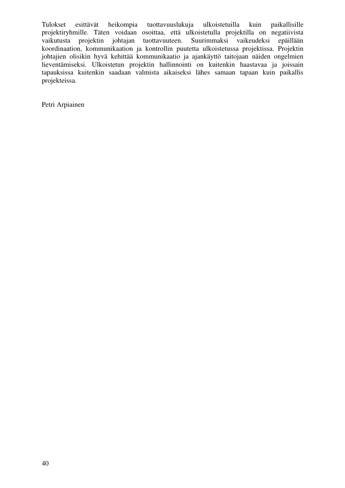Tulokset esittävät heikompia tuottavuuslukuja ulkoistetuilla kuin paikallisille projektiryhmille. Täten voidaan osoittaa, että ulkoistetulla projektilla on negatiivista vaikutusta projektin johtajan tuottavuuteen. Suurimmaksi vaikeudeksi epäillään koordinaation, kommunikaation ja kontrollin puutetta ulkoistetussa projektissa. Projektin johtajien olisikin hyvä kehittää kommunikaatio ja ajankäyttö taitojaan näiden ongelmien lieventämiseksi. Ulkoistetun projektin hallinnointi on kuitenkin haastavaa ja joissain tapauksissa kuitenkin saadaan valmista aikaiseksi lähes samaan tapaan kuin paikallis projekteissa.

Petri Arpiainen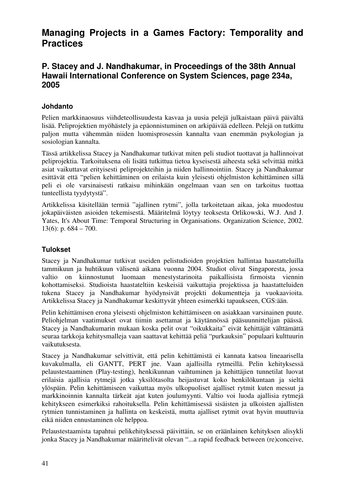# **Managing Projects in a Games Factory: Temporality and Practices**

### **P. Stacey and J. Nandhakumar, in Proceedings of the 38th Annual Hawaii International Conference on System Sciences, page 234a, 2005**

#### **Johdanto**

Pelien markkinaosuus viihdeteollisuudesta kasvaa ja uusia pelejä julkaistaan päivä päivältä lisää. Peliprojektien myöhästely ja epäonnistuminen on arkipäivää edelleen. Pelejä on tutkittu paljon mutta vähemmän niiden luomisprosessin kannalta vaan enemmän psykologian ja sosiologian kannalta.

Tässä artikkelissa Stacey ja Nandhakumar tutkivat miten peli studiot tuottavat ja hallinnoivat peliprojektia. Tarkoituksena oli lisätä tutkittua tietoa kyseisestä aiheesta sekä selvittää mitkä asiat vaikuttavat erityisesti peliprojekteihin ja niiden hallinnointiin. Stacey ja Nandhakumar esittävät että "pelien kehittäminen on erilaista kuin yleisesti ohjelmiston kehittäminen sillä peli ei ole varsinaisesti ratkaisu mihinkään ongelmaan vaan sen on tarkoitus tuottaa tunteellista tyydytystä".

Artikkelissa käsitellään termiä "ajallinen rytmi", jolla tarkoitetaan aikaa, joka muodostuu jokapäiväisten asioiden tekemisestä. Määritelmä löytyy teoksesta Orlikowski, W.J. And J. Yates, It's About Time: Temporal Structuring in Organisations. Organization Science, 2002. 13(6): p.  $684 - 700$ .

#### **Tulokset**

Stacey ja Nandhakumar tutkivat useiden pelistudioiden projektien hallintaa haastatteluilla tammikuun ja huhtikuun välisenä aikana vuonna 2004. Studiot olivat Singaporesta, jossa valtio on kiinnostunut luomaan menestystarinoita paikallisista firmoista viennin kohottamiseksi. Studioista haastateltiin keskeisiä vaikuttajia projektissa ja haastatteluiden tukena Stacey ja Nandhakumar hyödynsivät projekti dokumentteja ja vuokaavioita. Artikkelissa Stacey ja Nandhakumar keskittyvät yhteen esimerkki tapaukseen, CGS:ään.

Pelin kehittämisen erona yleisesti ohjelmiston kehittämiseen on asiakkaan varsinainen puute. Peliohjelman vaatimukset ovat tiimin asettamat ja käytännössä pääsuunnittelijan päässä. Stacey ja Nandhakumarin mukaan koska pelit ovat "oikukkaita" eivät kehittäjät välttämättä seuraa tarkkoja kehitysmalleja vaan saattavat kehittää peliä "purkauksin" populaari kulttuurin vaikutuksesta.

Stacey ja Nandhakumar selvittivät, että pelin kehittämistä ei kannata katsoa lineaarisella kuvakulmalla, eli GANTT, PERT jne. Vaan ajallisilla rytmeillä. Pelin kehityksessä pelaustestaaminen (Play-testing), henkikunnan vaihtuminen ja kehittäjien tunnetilat luovat erilaisia ajallisia rytmejä jotka yksilötasolta heijastuvat koko henkilökuntaan ja sieltä ylöspäin. Pelin kehittämiseen vaikuttaa myös ulkopuoliset ajalliset rytmit kuten messut ja markkinoinnin kannalta tärkeät ajat kuten joulumyynti. Valtio voi luoda ajallisia rytmejä kehitykseen esimerkiksi rahoituksella. Pelin kehittämisessä sisäisten ja ulkoisten ajallisten rytmien tunnistaminen ja hallinta on keskeistä, mutta ajalliset rytmit ovat hyvin muuttuvia eikä niiden ennustaminen ole helppoa.

Pelaustestaamista tapahtui pelikehityksessä päivittäin, se on eräänlainen kehityksen alisykli jonka Stacey ja Nandhakumar määrittelivät olevan "...a rapid feedback between (re)conceive,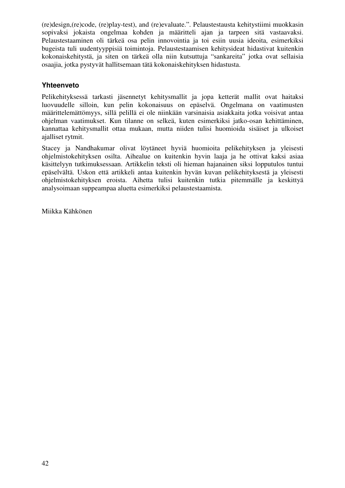(re)design,(re)code, (re)play-test), and (re)evaluate.". Pelaustestausta kehitystiimi muokkasin sopivaksi jokaista ongelmaa kohden ja määritteli ajan ja tarpeen sitä vastaavaksi. Pelaustestaaminen oli tärkeä osa pelin innovointia ja toi esiin uusia ideoita, esimerkiksi bugeista tuli uudentyyppisiä toimintoja. Pelaustestaamisen kehitysideat hidastivat kuitenkin kokonaiskehitystä, ja siten on tärkeä olla niin kutsuttuja "sankareita" jotka ovat sellaisia osaajia, jotka pystyvät hallitsemaan tätä kokonaiskehityksen hidastusta.

#### **Yhteenveto**

Pelikehityksessä tarkasti jäsennetyt kehitysmallit ja jopa ketterät mallit ovat haitaksi luovuudelle silloin, kun pelin kokonaisuus on epäselvä. Ongelmana on vaatimusten määrittelemättömyys, sillä pelillä ei ole niinkään varsinaisia asiakkaita jotka voisivat antaa ohjelman vaatimukset. Kun tilanne on selkeä, kuten esimerkiksi jatko-osan kehittäminen, kannattaa kehitysmallit ottaa mukaan, mutta niiden tulisi huomioida sisäiset ja ulkoiset ajalliset rytmit.

Stacey ja Nandhakumar olivat löytäneet hyviä huomioita pelikehityksen ja yleisesti ohjelmistokehityksen osilta. Aihealue on kuitenkin hyvin laaja ja he ottivat kaksi asiaa käsittelyyn tutkimuksessaan. Artikkelin teksti oli hieman hajanainen siksi lopputulos tuntui epäselvältä. Uskon että artikkeli antaa kuitenkin hyvän kuvan pelikehityksestä ja yleisesti ohjelmistokehityksen eroista. Aihetta tulisi kuitenkin tutkia pitemmälle ja keskittyä analysoimaan suppeampaa aluetta esimerkiksi pelaustestaamista.

Miikka Kähkönen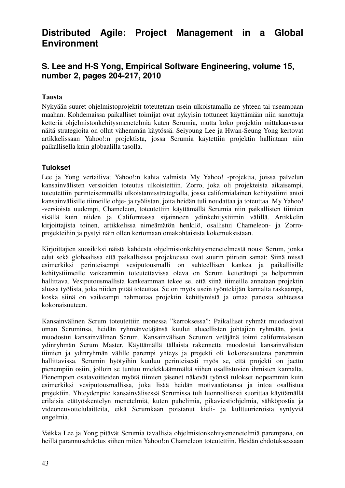# **Distributed Agile: Project Management in a Global Environment**

### **S. Lee and H-S Yong, Empirical Software Engineering, volume 15, number 2, pages 204-217, 2010**

#### **Tausta**

Nykyään suuret ohjelmistoprojektit toteutetaan usein ulkoistamalla ne yhteen tai useampaan maahan. Kohdemaissa paikalliset toimijat ovat nykyisin tottuneet käyttämään niin sanottuja ketteriä ohjelmistonkehitysmenetelmiä kuten Scrumia, mutta koko projektin mittakaavassa näitä strategioita on ollut vähemmän käytössä. Seiyoung Lee ja Hwan-Seung Yong kertovat artikkelissaan Yahoo!:n projektista, jossa Scrumia käytettiin projektin hallintaan niin paikallisella kuin globaalilla tasolla.

#### **Tulokset**

Lee ja Yong vertailivat Yahoo!:n kahta valmista My Yahoo! -projektia, joissa palvelun kansainvälisten versioiden toteutus ulkoistettiin. Zorro, joka oli projekteista aikaisempi, toteutettiin perinteisemmällä ulkoistamisstrategialla, jossa californialainen kehitystiimi antoi kansainvälisille tiimeille ohje- ja työlistan, joita heidän tuli noudattaa ja toteuttaa. My Yahoo! -versioista uudempi, Chameleon, toteutettiin käyttämällä Scrumia niin paikallisten tiimien sisällä kuin niiden ja Californiassa sijainneen ydinkehitystiimin välillä. Artikkelin kirjoittajista toinen, artikkelissa nimeämätön henkilö, osallistui Chameleon- ja Zorroprojekteihin ja pystyi näin ollen kertomaan omakohtaisista kokemuksistaan.

Kirjoittajien suosikiksi näistä kahdesta ohjelmistonkehitysmenetelmestä nousi Scrum, jonka edut sekä globaalissa että paikallisissa projekteissa ovat suurin piirtein samat: Siinä missä esimerkiksi perinteisempi vesiputousmalli on suhteellisen kankea ja paikallisille kehitystiimeille vaikeammin toteutettavissa oleva on Scrum ketterämpi ja helpommin hallittava. Vesiputousmallista kankeamman tekee se, että siinä tiimeille annetaan projektin alussa työlista, joka niiden pitää toteuttaa. Se on myös usein työntekijän kannalta raskaampi, koska siinä on vaikeampi hahmottaa projektin kehittymistä ja omaa panosta suhteessa kokonaisuuteen.

Kansainvälinen Scrum toteutettiin monessa "kerroksessa": Paikalliset ryhmät muodostivat oman Scruminsa, heidän ryhmänvetäjänsä kuului alueellisten johtajien ryhmään, josta muodostui kansainvälinen Scrum. Kansainvälisen Scrumin vetäjänä toimi californialaisen ydinryhmän Scrum Master. Käyttämällä tällaista rakennetta muodostui kansainvälisten tiimien ja ydinryhmän välille parempi yhteys ja projekti oli kokonaisuutena paremmin hallittavissa. Scrumin hyötyihin kuuluu perinteisesti myös se, että projekti on jaettu pienempiin osiin, jolloin se tuntuu mielekkäämmältä siihen osallistuvien ihmisten kannalta. Pienempien osatavoitteiden myötä tiimien jäsenet näkevät työnsä tulokset nopeammin kuin esimerkiksi vesiputousmallissa, joka lisää heidän motivaatiotansa ja intoa osallistua projektiin. Yhteydenpito kansainvälisessä Scrumissa tuli luonnollisesti suorittaa käyttämällä erilaisia etätyöskentelyn menetelmiä, kuten puhelimia, pikaviestiohjelmia, sähköpostia ja videoneuvottelulaitteita, eikä Scrumkaan poistanut kieli- ja kulttuurieroista syntyviä ongelmia.

Vaikka Lee ja Yong pitävät Scrumia tavallisia ohjelmistonkehitysmenetelmiä parempana, on heillä parannusehdotus siihen miten Yahoo!:n Chameleon toteutettiin. Heidän ehdotuksessaan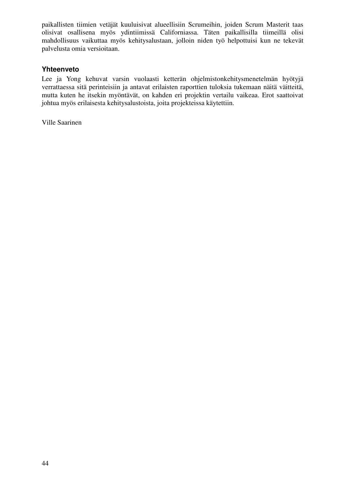paikallisten tiimien vetäjät kuuluisivat alueellisiin Scrumeihin, joiden Scrum Masterit taas olisivat osallisena myös ydintiimissä Californiassa. Täten paikallisilla tiimeillä olisi mahdollisuus vaikuttaa myös kehitysalustaan, jolloin niden työ helpottuisi kun ne tekevät palvelusta omia versioitaan.

#### **Yhteenveto**

Lee ja Yong kehuvat varsin vuolaasti ketterän ohjelmistonkehitysmenetelmän hyötyjä verrattaessa sitä perinteisiin ja antavat erilaisten raporttien tuloksia tukemaan näitä väitteitä, mutta kuten he itsekin myöntävät, on kahden eri projektin vertailu vaikeaa. Erot saattoivat johtua myös erilaisesta kehitysalustoista, joita projekteissa käytettiin.

Ville Saarinen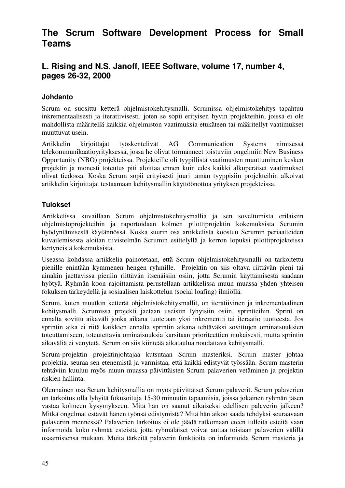# **The Scrum Software Development Process for Small Teams**

# **L. Rising and N.S. Janoff, IEEE Software, volume 17, number 4, pages 26-32, 2000**

#### **Johdanto**

Scrum on suosittu ketterä ohjelmistokehitysmalli. Scrumissa ohjelmistokehitys tapahtuu inkrementaalisesti ja iteratiivisesti, joten se sopii erityisen hyvin projekteihin, joissa ei ole mahdollista määritellä kaikkia ohjelmiston vaatimuksia etukäteen tai määritellyt vaatimukset muuttuvat usein.

Artikkelin kirjoittajat työskentelivät AG Communication Systems nimisessä telekommunikaatioyrityksessä, jossa he olivat törmänneet toistuviin ongelmiin New Business Opportunity (NBO) projekteissa. Projekteille oli tyypillistä vaatimusten muuttuminen kesken projektin ja monesti toteutus piti aloittaa ennen kuin edes kaikki alkuperäiset vaatimukset olivat tiedossa. Koska Scrum sopii erityisesti juuri tämän tyyppisiin projekteihin alkoivat artikkelin kirjoittajat testaamaan kehitysmallin käyttöönottoa yrityksen projekteissa.

#### **Tulokset**

Artikkelissa kuvaillaan Scrum ohjelmistokehitysmallia ja sen soveltumista erilaisiin ohjelmistoprojekteihin ja raportoidaan kolmen pilottiprojektin kokemuksista Scrumin hyödyntämisestä käytännössä. Koska suurin osa artikkelista koostuu Scrumin periaatteiden kuvailemisesta aloitan tiivistelmän Scrumin esittelyllä ja kerron lopuksi pilottiprojekteissa kertyneistä kokemuksista.

Useassa kohdassa artikkelia painotetaan, että Scrum ohjelmistokehitysmalli on tarkoitettu pienille enintään kymmenen hengen ryhmille. Projektin on siis oltava riittävän pieni tai ainakin jaettavissa pieniin riittävän itsenäisiin osiin, jotta Scrumin käyttämisestä saadaan hyötyä. Ryhmän koon rajoittamista perustellaan artikkelissa muun muassa yhden yhteisen fokuksen tärkeydellä ja sosiaalisen laiskottelun (social loafing) ilmiöllä.

Scrum, kuten muutkin ketterät ohjelmistokehitysmallit, on iteratiivinen ja inkrementaalinen kehitysmalli. Scrumissa projekti jaetaan useisiin lyhyisiin osiin, sprintteihin. Sprint on ennalta sovittu aikaväli jonka aikana tuotetaan yksi inkrementti tai iteraatio tuotteesta. Jos sprintin aika ei riitä kaikkien ennalta sprintin aikana tehtäväksi sovittujen ominaisuuksien toteuttamiseen, toteutettavia ominaisuuksia karsitaan prioriteettien mukaisesti, mutta sprintin aikaväliä ei venytetä. Scrum on siis kiinteää aikataulua noudattava kehitysmalli.

Scrum-projektin projektinjohtajaa kutsutaan Scrum masteriksi. Scrum master johtaa projektia, seuraa sen etenemistä ja varmistaa, että kaikki edistyvät työssään. Scrum masterin tehtäviin kuuluu myös muun muassa päivittäisten Scrum palaverien vetäminen ja projektin riskien hallinta.

Olennainen osa Scrum kehitysmallia on myös päivittäiset Scrum palaverit. Scrum palaverien on tarkoitus olla lyhyitä fokusoituja 15-30 minuutin tapaamisia, joissa jokainen ryhmän jäsen vastaa kolmeen kysymykseen. Mitä hän on saanut aikaiseksi edellisen palaverin jälkeen? Mitkä ongelmat estävät hänen työnsä edistymistä? Mitä hän aikoo saada tehdyksi seuraavaan palaveriin mennessä? Palaverien tarkoitus ei ole jäädä ratkomaan eteen tulleita esteitä vaan informoida koko ryhmää esteistä, jotta ryhmäläiset voivat auttaa toisiaan palaverien välillä osaamisiensa mukaan. Muita tärkeitä palaverin funktioita on informoida Scrum masteria ja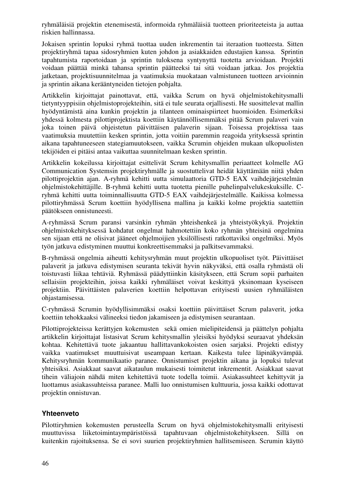ryhmäläisiä projektin etenemisestä, informoida ryhmäläisiä tuotteen prioriteeteista ja auttaa riskien hallinnassa.

Jokaisen sprintin lopuksi ryhmä tuottaa uuden inkrementin tai iteraation tuotteesta. Sitten projektiryhmä tapaa sidosryhmien kuten johdon ja asiakkaiden edustajien kanssa. Sprintin tapahtumista raportoidaan ja sprintin tuloksena syntynyttä tuotetta arvioidaan. Projekti voidaan päättää minkä tahansa sprintin päätteeksi tai sitä voidaan jatkaa. Jos projektia jatketaan, projektisuunnitelmaa ja vaatimuksia muokataan valmistuneen tuotteen arvioinnin ja sprintin aikana kerääntyneiden tietojen pohjalta.

Artikkelin kirjoittajat painottavat, että, vaikka Scrum on hyvä ohjelmistokehitysmalli tietyntyyppisiin ohjelmistoprojekteihin, sitä ei tule seurata orjallisesti. He suosittelevat mallin hyödyntämistä aina kunkin projektin ja tilanteen ominaispiirteet huomioiden. Esimerkiksi yhdessä kolmesta pilottiprojektista koettiin käytännöllisemmäksi pitää Scrum palaveri vain joka toinen päivä ohjeistetun päivittäisen palaverin sijaan. Toisessa projektissa taas vaatimuksia muutettiin kesken sprintin, jotta voitiin paremmin reagoida yrityksessä sprintin aikana tapahtuneeseen stategiamuutokseen, vaikka Scrumin ohjeiden mukaan ulkopuolisten tekijöiden ei pitäisi antaa vaikuttaa suunnitelmaan kesken sprintin.

Artikkelin kokeilussa kirjoittajat esittelivät Scrum kehitysmallin periaatteet kolmelle AG Communication Systemsin projektiryhmälle ja suostuttelivat heidät käyttämään niitä yhden pilottiprojektin ajan. A-ryhmä kehitti uutta simulaattoria GTD-5 EAX vaihdejärjestelmän ohjelmistokehittäjille. B-ryhmä kehitti uutta tuotetta pienille puhelinpalvelukeskuksille. Cryhmä kehitti uutta toiminnallisuutta GTD-5 EAX vaihdejärjestelmälle. Kaikissa kolmessa pilottiryhmässä Scrum koettiin hyödyllisena mallina ja kaikki kolme projektia saatettiin päätökseen onnistuneesti.

A-ryhmässä Scrum paransi varsinkin ryhmän yhteishenkeä ja yhteistyökykyä. Projektin ohjelmistokehityksessä kohdatut ongelmat hahmotettiin koko ryhmän yhteisinä ongelmina sen sijaan että ne olisivat jääneet ohjelmoijien yksilöllisesti ratkottaviksi ongelmiksi. Myös työn jatkuva edistyminen muuttui konkreettisemmaksi ja palkitsevammaksi.

B-ryhmässä ongelmia aiheutti kehitysryhmän muut projektin ulkopuoliset työt. Päivittäiset palaverit ja jatkuva edistymisen seuranta tekivät hyvin näkyväksi, että osalla ryhmästä oli toistuvasti liikaa tehtäviä. Ryhmässä päädyttiinkin käsitykseen, että Scrum sopii parhaiten sellaisiin projekteihin, joissa kaikki ryhmäläiset voivat keskittyä yksinomaan kyseiseen projektiin. Päivittäisten palaverien koettiin helpottavan erityisesti uusien ryhmäläisten ohjastamisessa.

C-ryhmässä Scrumin hyödyllisimmäksi osaksi koettiin päivittäiset Scrum palaverit, jotka koettiin tehokkaaksi välineeksi tiedon jakamiseen ja edistymisen seurantaan.

Pilottiprojekteissa kerättyjen kokemusten sekä omien mielipiteidensä ja päättelyn pohjalta artikkelin kirjoittajat listasivat Scrum kehitysmallin yleisiksi hyödyksi seuraavat yhdeksän kohtaa. Kehitettävä tuote jakaantuu hallittavankokoisten osien sarjaksi. Projekti edistyy vaikka vaatimukset muuttuisivat useampaan kertaan. Kaikesta tulee läpinäkyvämpää. Kehitysryhmän kommunikaatio paranee. Onnistumiset projektin aikana ja lopuksi tulevat yhteisiksi. Asiakkaat saavat aikataulun mukaisesti toimitetut inkrementit. Asiakkaat saavat tihein väliajoin nähdä miten kehitettävä tuote todella toimii. Asiakassuhteet kehittyvät ja luottamus asiakassuhteissa paranee. Malli luo onnistumisen kulttuuria, jossa kaikki odottavat projektin onnistuvan.

#### **Yhteenveto**

Pilottiryhmien kokemusten perusteella Scrum on hyvä ohjelmistokehitysmalli erityisesti muuttuvissa liiketoimintaympäristöissä tapahtuvaan ohjelmistokehitykseen. Sillä on kuitenkin rajoituksensa. Se ei sovi suurien projektiryhmien hallitsemiseen. Scrumin käyttö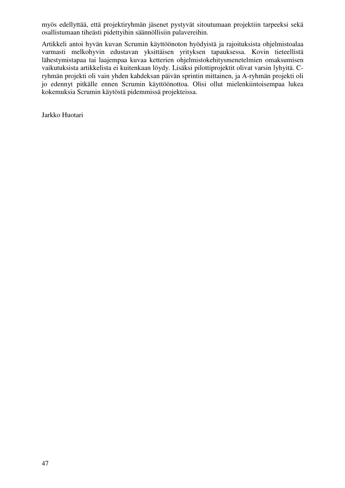myös edellyttää, että projektiryhmän jäsenet pystyvät sitoutumaan projektiin tarpeeksi sekä osallistumaan tiheästi pidettyihin säännöllisiin palavereihin.

Artikkeli antoi hyvän kuvan Scrumin käyttöönoton hyödyistä ja rajoituksista ohjelmistoalaa varmasti melkohyvin edustavan yksittäisen yrityksen tapauksessa. Kovin tieteellistä lähestymistapaa tai laajempaa kuvaa ketterien ohjelmistokehitysmenetelmien omaksumisen vaikutuksista artikkelista ei kuitenkaan löydy. Lisäksi pilottiprojektit olivat varsin lyhyitä. Cryhmän projekti oli vain yhden kahdeksan päivän sprintin mittainen, ja A-ryhmän projekti oli jo edennyt pitkälle ennen Scrumin käyttöönottoa. Olisi ollut mielenkiintoisempaa lukea kokemuksia Scrumin käytöstä pidemmissä projekteissa.

Jarkko Huotari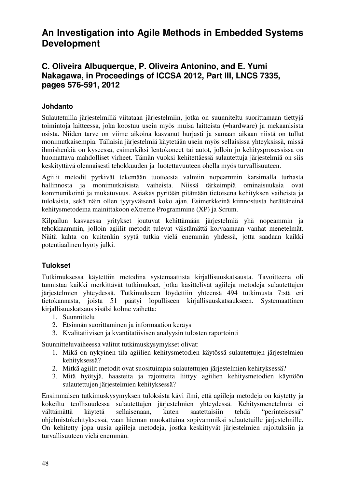# **An Investigation into Agile Methods in Embedded Systems Development**

### **C. Oliveira Albuquerque, P. Oliveira Antonino, and E. Yumi Nakagawa, in Proceedings of ICCSA 2012, Part III, LNCS 7335, pages 576-591, 2012**

#### **Johdanto**

Sulautetuilla järjestelmillä viitataan järjestelmiin, jotka on suunniteltu suorittamaan tiettyjä toimintoja laitteessa, joka koostuu usein myös muisa laitteista (=hardware) ja mekaanisista osista. Niiden tarve on viime aikoina kasvanut hurjasti ja samaan aikaan niistä on tullut monimutkaisempia. Tällaisia järjestelmiä käytetään usein myös sellaisissa yhteyksissä, missä ihmishenkiä on kyseessä, esimerkiksi lentokoneet tai autot, jolloin jo kehitysprosessissa on huomattava mahdolliset virheet. Tämän vuoksi kehitettäessä sulautettuja järjestelmiä on siis keskityttävä olennaisesti tehokkuuden ja luotettavuuteen ohella myös turvallisuuteen.

Agiilit metodit pyrkivät tekemään tuotteesta valmiin nopeammin karsimalla turhasta hallinnosta ja monimutkaisista vaiheista. Niissä tärkeimpiä ominaisuuksia ovat kommunikointi ja mukatuvuus. Asiakas pyritään pitämään tietoisena kehityksen vaiheista ja tuloksista, sekä näin ollen tyytyväisenä koko ajan. Esimerkkeinä kiinnostusta herättäneinä kehitysmetodeina mainittakoon eXtreme Programmine (XP) ja Scrum.

Kilpailun kasvaessa yritykset joutuvat kehittämään järjestelmiä yhä nopeammin ja tehokkaammin, jolloin agiilit metodit tulevat väistämättä korvaamaan vanhat menetelmät. Näitä kahta on kuitenkin syytä tutkia vielä enemmän yhdessä, jotta saadaan kaikki potentiaalinen hyöty julki.

#### **Tulokset**

Tutkimuksessa käytettiin metodina systemaattista kirjallisuuskatsausta. Tavoitteena oli tunnistaa kaikki merkittävät tutkimukset, jotka käsittelivät agiileja metodeja sulautettujen järjestelmien yhteydessä. Tutkimukseen löydettiin yhteensä 494 tutkimusta 7:stä eri tietokannasta, joista 51 päätyi lopulliseen kirjallisuuskatsaukseen. Systemaattinen kirjallisuuskatsaus sisälsi kolme vaihetta:

- 1. Suunnittelu
- 2. Etsinnän suorittaminen ja informaation keräys
- 3. Kvalitatiivisen ja kvantitatiivisen analyysin tulosten raportointi

Suunnitteluvaiheessa valitut tutkimuskysymykset olivat:

- 1. Mikä on nykyinen tila agiilien kehitysmetodien käytössä sulautettujen järjestelmien kehityksessä?
- 2. Mitkä agiilit metodit ovat suosituimpia sulautettujen järjestelmien kehityksessä?
- 3. Mitä hyötyjä, haasteita ja rajoitteita liittyy agiilien kehitysmetodien käyttöön sulautettujen järjestelmien kehityksessä?

Ensimmäisen tutkimuskysymyksen tuloksista kävi ilmi, että agiileja metodeja on käytetty ja kokeiltu teollisuudessa sulautettujen järjestelmien yhteydessä. Kehitysmenetelmiä ei välttämättä käytetä sellaisenaan, kuten saatettaisiin tehdä "perinteisessä" ohjelmistokehityksessä, vaan hieman muokattuina sopivammiksi sulautetuille järjestelmille. On kehitetty jopa uusia agiileja metodeja, jostka keskittyvät järjestelmien rajoituksiin ja turvallisuuteen vielä enemmän.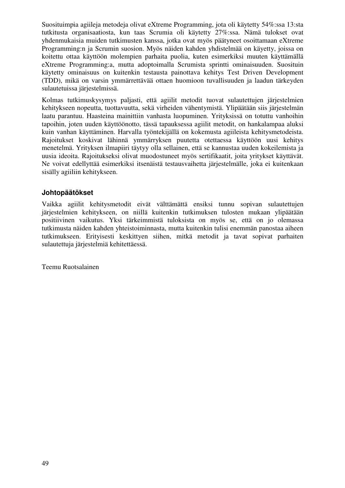Suosituimpia agiileja metodeja olivat eXtreme Programming, jota oli käytetty 54%:ssa 13:sta tutkitusta organisaatiosta, kun taas Scrumia oli käytetty 27%:ssa. Nämä tulokset ovat yhdenmukaisia muiden tutkimusten kanssa, jotka ovat myös päätyneet osoittamaan eXtreme Programming:n ja Scrumin suosion. Myös näiden kahden yhdistelmää on käyetty, joissa on koitettu ottaa käyttöön molempien parhaita puolia, kuten esimerkiksi muuten käyttämällä eXtreme Programming:a, mutta adoptoimalla Scrumista sprintti ominaisuuden. Suosituin käytetty ominaisuus on kuitenkin testausta painottava kehitys Test Driven Development (TDD), mikä on varsin ymmärrettävää ottaen huomioon tuvallisuuden ja laadun tärkeyden sulautetuissa järjestelmissä.

Kolmas tutkimuskysymys paljasti, että agiilit metodit tuovat sulautettujen järjestelmien kehitykseen nopeutta, tuottavuutta, sekä virheiden vähentymistä. Ylipäätään siis järjestelmän laatu parantuu. Haasteina mainittiin vanhasta luopuminen. Yrityksissä on totuttu vanhoihin tapoihin, joten uuden käyttöönotto, tässä tapauksessa agiilit metodit, on hankalampaa aluksi kuin vanhan käyttäminen. Harvalla työntekijällä on kokemusta agiileista kehitysmetodeista. Rajoitukset koskivat lähinnä ymmärryksen puutetta otettaessa käyttöön uusi kehitys menetelmä. Yrityksen ilmapiiri täytyy olla sellainen, että se kannustaa uuden kokeilemista ja uusia ideoita. Rajoitukseksi olivat muodostuneet myös sertifikaatit, joita yritykset käyttävät. Ne voivat edellyttää esimerkiksi itsenäistä testausvaihetta järjestelmälle, joka ei kuitenkaan sisälly agiiliin kehitykseen.

#### **Johtopäätökset**

Vaikka agiilit kehitysmetodit eivät välttämättä ensiksi tunnu sopivan sulautettujen järjestelmien kehitykseen, on niillä kuitenkin tutkimuksen tulosten mukaan ylipäätään positiivinen vaikutus. Yksi tärkeimmistä tuloksista on myös se, että on jo olemassa tutkimusta näiden kahden yhteistoiminnasta, mutta kuitenkin tulisi enemmän panostaa aiheen tutkimukseen. Erityisesti keskittyen siihen, mitkä metodit ja tavat sopivat parhaiten sulautettuja järjestelmiä kehitettäessä.

Teemu Ruotsalainen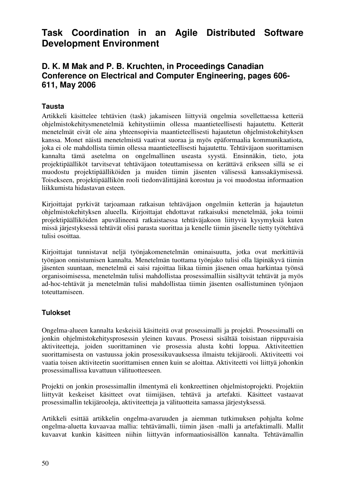# **Task Coordination in an Agile Distributed Software Development Environment**

### **D. K. M Mak and P. B. Kruchten, in Proceedings Canadian Conference on Electrical and Computer Engineering, pages 606- 611, May 2006**

#### **Tausta**

Artikkeli käsittelee tehtävien (task) jakamiseen liittyviä ongelmia sovellettaessa ketteriä ohjelmistokehitysmenetelmiä kehitystiimin ollessa maantieteellisesti hajautettu. Ketterät menetelmät eivät ole aina yhteensopivia maantieteellisesti hajautetun ohjelmistokehityksen kanssa. Monet näistä menetelmistä vaativat suoraa ja myös epäformaalia kommunikaatiota, joka ei ole mahdollista tiimin ollessa maantieteellisesti hajautettu. Tehtäväjaon suorittamisen kannalta tämä asetelma on ongelmallinen useasta syystä. Ensinnäkin, tieto, jota projektipäälliköt tarvitsevat tehtäväjaon toteuttamisessa on kerättävä erikseen sillä se ei muodostu projektipäälliköiden ja muiden tiimin jäsenten välisessä kanssakäymisessä. Toisekseen, projektipäällikön rooli tiedonvälittäjänä korostuu ja voi muodostaa informaation liikkumista hidastavan esteen.

Kirjoittajat pyrkivät tarjoamaan ratkaisun tehtäväjaon ongelmiin ketterän ja hajautetun ohjelmistokehityksen alueella. Kirjoittajat ehdottavat ratkaisuksi menetelmää, joka toimii projektipäälliköiden apuvälineenä ratkaistaessa tehtäväjakoon liittyviä kysymyksiä kuten missä järjestyksessä tehtävät olisi parasta suorittaa ja kenelle tiimin jäsenelle tietty työtehtävä tulisi osoittaa.

Kirjoittajat tunnistavat neljä työnjakomenetelmän ominaisuutta, jotka ovat merkittäviä työnjaon onnistumisen kannalta. Menetelmän tuottama työnjako tulisi olla läpinäkyvä tiimin jäsenten suuntaan, menetelmä ei saisi rajoittaa liikaa tiimin jäsenen omaa harkintaa työnsä organisoimisessa, menetelmän tulisi mahdollistaa prosessimalliin sisältyvät tehtävät ja myös ad-hoc-tehtävät ja menetelmän tulisi mahdollistaa tiimin jäsenten osallistuminen työnjaon toteuttamiseen.

#### **Tulokset**

Ongelma-alueen kannalta keskeisiä käsitteitä ovat prosessimalli ja projekti. Prosessimalli on jonkin ohjelmistokehitysprosessin yleinen kuvaus. Prosessi sisältää toisistaan riippuvaisia aktiviteetteja, joiden suorittaminen vie prosessia alusta kohti loppua. Aktiviteettien suorittamisesta on vastuussa jokin prosessikuvauksessa ilmaistu tekijärooli. Aktiviteetti voi vaatia toisen aktiviteetin suorittamisen ennen kuin se aloittaa. Aktiviteetti voi liittyä johonkin prosessimallissa kuvattuun välituotteeseen.

Projekti on jonkin prosessimallin ilmentymä eli konkreettinen ohjelmistoprojekti. Projektiin liittyvät keskeiset käsitteet ovat tiimijäsen, tehtävä ja artefakti. Käsitteet vastaavat prosessimallin tekijärooleja, aktiviteetteja ja välituotteita samassa järjestyksessä.

Artikkeli esittää artikkelin ongelma-avaruuden ja aiemman tutkimuksen pohjalta kolme ongelma-aluetta kuvaavaa mallia: tehtävämalli, tiimin jäsen -malli ja artefaktimalli. Mallit kuvaavat kunkin käsitteen niihin liittyvän informaatiosisällön kannalta. Tehtävämallin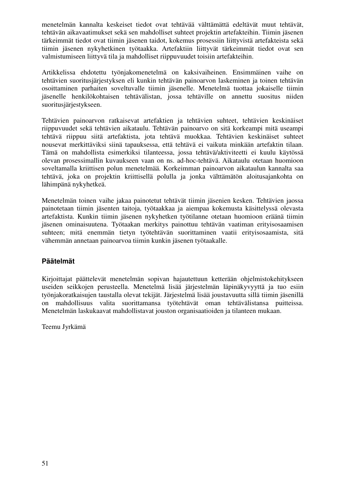menetelmän kannalta keskeiset tiedot ovat tehtävää välttämättä edeltävät muut tehtävät, tehtävän aikavaatimukset sekä sen mahdolliset suhteet projektin artefakteihin. Tiimin jäsenen tärkeimmät tiedot ovat tiimin jäsenen taidot, kokemus prosessiin liittyvistä artefakteista sekä tiimin jäsenen nykyhetkinen työtaakka. Artefaktiin liittyvät tärkeimmät tiedot ovat sen valmistumiseen liittyvä tila ja mahdolliset riippuvuudet toisiin artefakteihin.

Artikkelissa ehdotettu työnjakomenetelmä on kaksivaiheinen. Ensimmäinen vaihe on tehtävien suoritusjärjestyksen eli kunkin tehtävän painoarvon laskeminen ja toinen tehtävän osoittaminen parhaiten soveltuvalle tiimin jäsenelle. Menetelmä tuottaa jokaiselle tiimin jäsenelle henkilökohtaisen tehtävälistan, jossa tehtäville on annettu suositus niiden suoritusjärjestykseen.

Tehtävien painoarvon ratkaisevat artefaktien ja tehtävien suhteet, tehtävien keskinäiset riippuvuudet sekä tehtävien aikataulu. Tehtävän painoarvo on sitä korkeampi mitä useampi tehtävä riippuu siitä artefaktista, jota tehtävä muokkaa. Tehtävien keskinäiset suhteet nousevat merkittäviksi siinä tapauksessa, että tehtävä ei vaikuta minkään artefaktin tilaan. Tämä on mahdollista esimerkiksi tilanteessa, jossa tehtävä/aktiviteetti ei kuulu käytössä olevan prosessimallin kuvaukseen vaan on ns. ad-hoc-tehtävä. Aikataulu otetaan huomioon soveltamalla kriittisen polun menetelmää. Korkeimman painoarvon aikataulun kannalta saa tehtävä, joka on projektin kriittisellä polulla ja jonka välttämätön aloitusajankohta on lähimpänä nykyhetkeä.

Menetelmän toinen vaihe jakaa painotetut tehtävät tiimin jäsenien kesken. Tehtävien jaossa painotetaan tiimin jäsenten taitoja, työtaakkaa ja aiempaa kokemusta käsittelyssä olevasta artefaktista. Kunkin tiimin jäsenen nykyhetken työtilanne otetaan huomioon eräänä tiimin jäsenen ominaisuutena. Työtaakan merkitys painottuu tehtävän vaatiman erityisosaamisen suhteen; mitä enemmän tietyn työtehtävän suorittaminen vaatii erityisosaamista, sitä vähemmän annetaan painoarvoa tiimin kunkin jäsenen työtaakalle.

#### **Päätelmät**

Kirjoittajat päättelevät menetelmän sopivan hajautettuun ketterään ohjelmistokehitykseen useiden seikkojen perusteella. Menetelmä lisää järjestelmän läpinäkyvyyttä ja tuo esiin työnjakoratkaisujen taustalla olevat tekijät. Järjestelmä lisää joustavuutta sillä tiimin jäsenillä on mahdollisuus valita suorittamansa työtehtävät oman tehtävälistansa puitteissa. Menetelmän laskukaavat mahdollistavat jouston organisaatioiden ja tilanteen mukaan.

Teemu Jyrkämä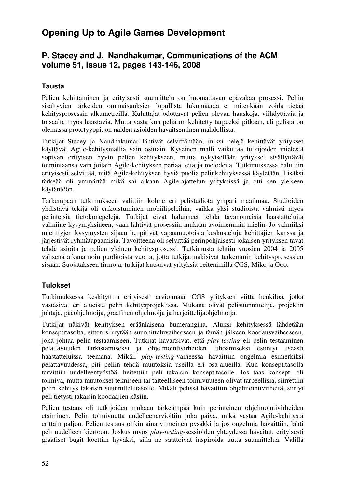# **Opening Up to Agile Games Development**

# **P. Stacey and J. Nandhakumar, Communications of the ACM volume 51, issue 12, pages 143-146, 2008**

#### **Tausta**

Pelien kehittäminen ja erityisesti suunnittelu on huomattavan epävakaa prosessi. Peliin sisältyvien tärkeiden ominaisuuksien lopullista lukumäärää ei mitenkään voida tietää kehitysprosessin alkumetreillä. Kuluttajat odottavat pelien olevan hauskoja, viihdyttäviä ja toisaalta myös haastavia. Mutta vasta kun peliä on kehitetty tarpeeksi pitkään, eli pelistä on olemassa prototyyppi, on näiden asioiden havaitseminen mahdollista.

Tutkijat Stacey ja Nandhakumar lähtivät selvittämään, miksi pelejä kehittävät yritykset käyttävät Agile-kehitysmallia vain osittain. Kyseinen malli vaikuttaa tutkijoiden mielestä sopivan erityisen hyvin pelien kehitykseen, mutta nykyisellään yritykset sisällyttävät toimintaansa vain joitain Agile-kehityksen periaatteita ja metodeita. Tutkimuksessa haluttiin erityisesti selvittää, mitä Agile-kehityksen hyviä puolia pelinkehityksessä käytetään. Lisäksi tärkeää oli ymmärtää mikä sai aikaan Agile-ajattelun yrityksissä ja otti sen yleiseen käytäntöön.

Tarkempaan tutkimukseen valittiin kolme eri pelistudiota ympäri maailmaa. Studioiden yhdistävä tekijä oli erikoistuminen mobiilipeleihin, vaikka yksi studioista valmisti myös perinteisiä tietokonepelejä. Tutkijat eivät halunneet tehdä tavanomaisia haastatteluita valmiine kysymyksineen, vaan lähtivät prosessiin mukaan avoimemmin mielin. Jo valmiiksi mietittyjen kysymysten sijaan he pitivät vapaamuotoisia keskusteluja kehittäjien kanssa ja järjestivät ryhmätapaamisia. Tavoitteena oli selvittää perinpohjaisesti jokaisen yrityksen tavat tehdä asioita ja pelien yleinen kehitysprosessi. Tutkimusta tehtiin vuosien 2004 ja 2005 välisenä aikana noin puolitoista vuotta, jotta tutkijat näkisivät tarkemmin kehitysprosessien sisään. Suojatakseen firmoja, tutkijat kutsuivat yrityksiä peitenimillä CGS, Miko ja Goo.

#### **Tulokset**

Tutkimuksessa keskityttiin erityisesti arvioimaan CGS yrityksen viittä henkilöä, jotka vastasivat eri alueista pelin kehitysprojektissa. Mukana olivat pelisuunnittelija, projektin johtaja, pääohjelmoija, graafinen ohjelmoija ja harjoittelijaohjelmoija.

Tutkijat näkivät kehityksen eräänlaisena bumerangina. Aluksi kehityksessä lähdetään konseptitasolta, sitten siirrytään suunnitteluvaiheeseen ja tämän jälkeen koodausvaiheeseen, joka johtaa pelin testaamiseen. Tutkijat havaitsivat, että *play-testing* eli pelin testaaminen pelattavuuden tarkistamiseksi ja ohjelmointivirheiden tuhoamiseksi esiintyi useasti haastatteluissa teemana. Mikäli *play-testing*-vaiheessa havaittiin ongelmia esimerkiksi pelattavuudessa, piti peliin tehdä muutoksia useilla eri osa-alueilla. Kun konseptitasolla tarvittiin uudelleentyöstöä, heitettiin peli takaisin konseptitasolle. Jos taas konsepti oli toimiva, mutta muutokset tekniseen tai taiteelliseen toimivuuteen olivat tarpeellisia, siirrettiin pelin kehitys takaisin suunnittelutasolle. Mikäli pelissä havaittiin ohjelmointivirheitä, siirtyi peli tietysti takaisin koodaajien käsiin.

Pelien testaus oli tutkijoiden mukaan tärkeämpää kuin perinteinen ohjelmointivirheiden etsiminen. Pelin toimivuutta uudelleenarvioitiin joka päivä, mikä vastaa Agile-kehitystä erittäin paljon. Pelien testaus olikin aina viimeinen pysäkki ja jos ongelmia havaittiin, lähti peli uudelleen kiertoon. Joskus myös *play-testing*-sessioiden yhteydessä havaitut, erityisesti graafiset bugit koettiin hyväksi, sillä ne saattoivat inspiroida uutta suunnittelua. Välillä